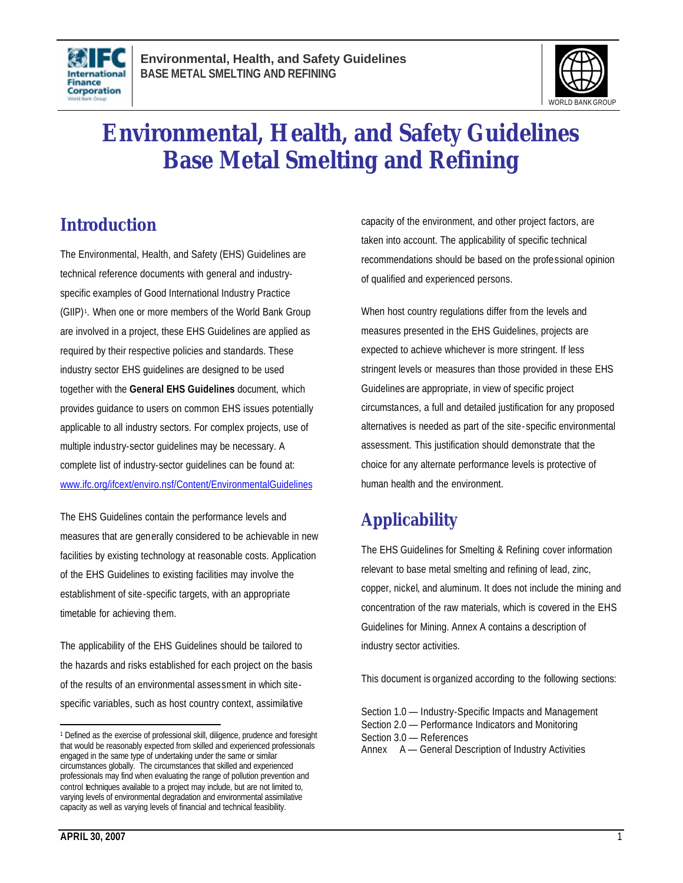



# **Environmental, Health, and Safety Guidelines Base Metal Smelting and Refining**

# **Introduction**

The Environmental, Health, and Safety (EHS) Guidelines are technical reference documents with general and industryspecific examples of Good International Industry Practice (GIIP)<sup>1</sup>. When one or more members of the World Bank Group are involved in a project, these EHS Guidelines are applied as required by their respective policies and standards. These industry sector EHS guidelines are designed to be used together with the **General EHS Guidelines** document, which provides guidance to users on common EHS issues potentially applicable to all industry sectors. For complex projects, use of multiple industry-sector guidelines may be necessary. A complete list of industry-sector guidelines can be found at: www.ifc.org/ifcext/enviro.nsf/Content/EnvironmentalGuidelines

The EHS Guidelines contain the performance levels and measures that are generally considered to be achievable in new facilities by existing technology at reasonable costs. Application of the EHS Guidelines to existing facilities may involve the establishment of site-specific targets, with an appropriate timetable for achieving them.

The applicability of the EHS Guidelines should be tailored to the hazards and risks established for each project on the basis of the results of an environmental assessment in which sitespecific variables, such as host country context, assimilative

capacity of the environment, and other project factors, are taken into account. The applicability of specific technical recommendations should be based on the professional opinion of qualified and experienced persons.

When host country regulations differ from the levels and measures presented in the EHS Guidelines, projects are expected to achieve whichever is more stringent. If less stringent levels or measures than those provided in these EHS Guidelines are appropriate, in view of specific project circumstances, a full and detailed justification for any proposed alternatives is needed as part of the site- specific environmental assessment. This justification should demonstrate that the choice for any alternate performance levels is protective of human health and the environment.

# **Applicability**

The EHS Guidelines for Smelting & Refining cover information relevant to base metal smelting and refining of lead, zinc, copper, nickel, and aluminum. It does not include the mining and concentration of the raw materials, which is covered in the EHS Guidelines for Mining. Annex A contains a description of industry sector activities.

This document is organized according to the following sections:

 $\overline{a}$ <sup>1</sup> Defined as the exercise of professional skill, diligence, prudence and foresight that would be reasonably expected from skilled and experienced professionals engaged in the same type of undertaking under the same or similar circumstances globally. The circumstances that skilled and experienced professionals may find when evaluating the range of pollution prevention and control techniques available to a project may include, but are not limited to, varying levels of environmental degradation and environmental assimilative capacity as well as varying levels of financial and technical feasibility.

Section 1.0 — Industry-Specific Impacts and Management Section 2.0 — Performance Indicators and Monitoring Section 3.0 — References Annex A — General Description of Industry Activities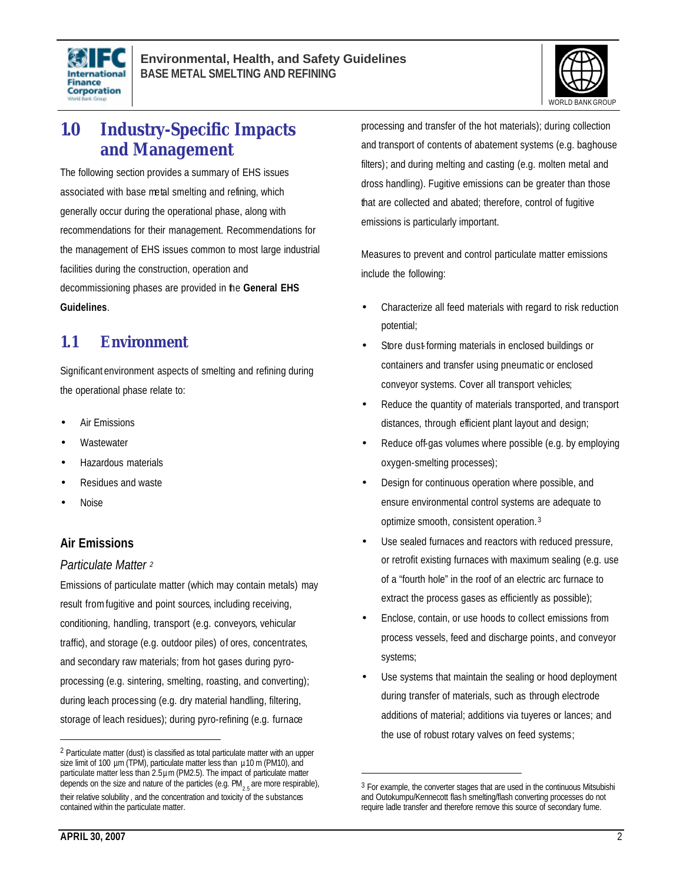



# **1.0 Industry-Specific Impacts and Management**

The following section provides a summary of EHS issues associated with base metal smelting and refining, which generally occur during the operational phase, along with recommendations for their management. Recommendations for the management of EHS issues common to most large industrial facilities during the construction, operation and decommissioning phases are provided in the **General EHS Guidelines**.

# **1.1 Environment**

Significant environment aspects of smelting and refining during the operational phase relate to:

- **Air Emissions**
- **Wastewater**
- Hazardous materials
- Residues and waste
- Noise

# **Air Emissions**

#### *Particulate Matter <sup>2</sup>*

Emissions of particulate matter (which may contain metals) may result from fugitive and point sources, including receiving, conditioning, handling, transport (e.g. conveyors, vehicular traffic), and storage (e.g. outdoor piles) of ores, concentrates, and secondary raw materials; from hot gases during pyroprocessing (e.g. sintering, smelting, roasting, and converting); during leach processing (e.g. dry material handling, filtering, storage of leach residues); during pyro-refining (e.g. furnace

processing and transfer of the hot materials); during collection and transport of contents of abatement systems (e.g. baghouse filters); and during melting and casting (e.g. molten metal and dross handling). Fugitive emissions can be greater than those that are collected and abated; therefore, control of fugitive emissions is particularly important.

Measures to prevent and control particulate matter emissions include the following:

- Characterize all feed materials with regard to risk reduction potential;
- Store dust-forming materials in enclosed buildings or containers and transfer using pneumatic or enclosed conveyor systems. Cover all transport vehicles;
- Reduce the quantity of materials transported, and transport distances, through efficient plant layout and design;
- Reduce off-gas volumes where possible (e.g. by employing oxygen-smelting processes);
- Design for continuous operation where possible, and ensure environmental control systems are adequate to optimize smooth, consistent operation. <sup>3</sup>
- Use sealed furnaces and reactors with reduced pressure, or retrofit existing furnaces with maximum sealing (e.g. use of a "fourth hole" in the roof of an electric arc furnace to extract the process gases as efficiently as possible);
- Enclose, contain, or use hoods to collect emissions from process vessels, feed and discharge points, and conveyor systems;
- Use systems that maintain the sealing or hood deployment during transfer of materials, such as through electrode additions of material; additions via tuyeres or lances; and the use of robust rotary valves on feed systems;

 $\overline{a}$ 

<sup>2</sup> Particulate matter (dust) is classified as total particulate matter with an upper size limit of 100  $\mu$ m (TPM), particulate matter less than  $\mu$ 10 m (PM10), and particulate matter less than 2.5µm (PM2.5). The impact of particulate matter depends on the size and nature of the particles (e.g.  $\mathsf{PM}_{_{2.5}}$ are more respirable), their relative solubility , and the concentration and toxicity of the substances contained within the particulate matter.

<sup>3</sup> For example, the converter stages that are used in the continuous Mitsubishi and Outokumpu/Kennecott flash smelting/flash converting processes do not require ladle transfer and therefore remove this source of secondary fume.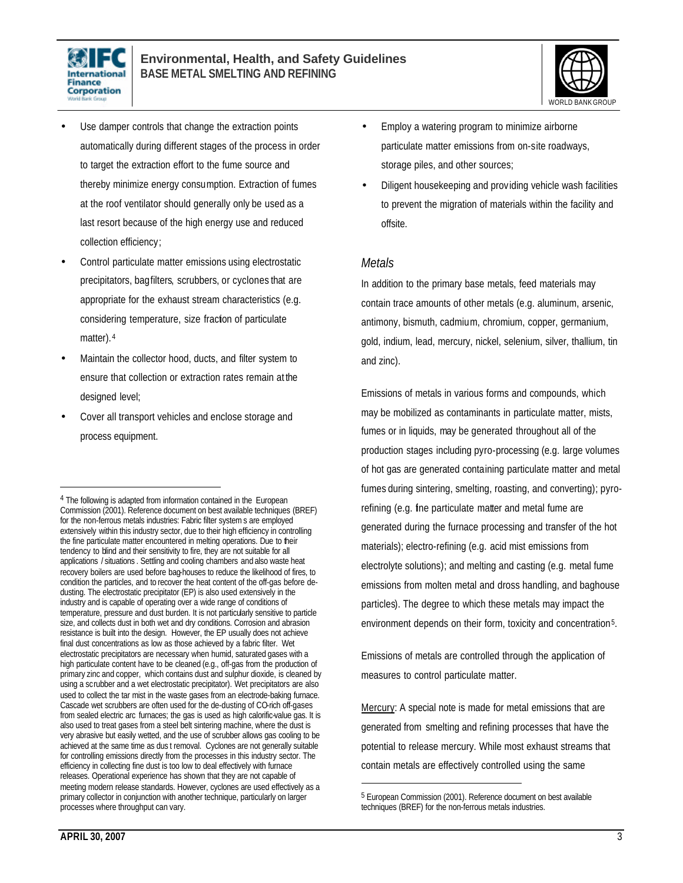



- Use damper controls that change the extraction points automatically during different stages of the process in order to target the extraction effort to the fume source and thereby minimize energy consumption. Extraction of fumes at the roof ventilator should generally only be used as a last resort because of the high energy use and reduced collection efficiency;
- Control particulate matter emissions using electrostatic precipitators, bagfilters, scrubbers, or cyclones that are appropriate for the exhaust stream characteristics (e.g. considering temperature, size fraction of particulate matter). 4
- Maintain the collector hood, ducts, and filter system to ensure that collection or extraction rates remain at the designed level;
- Cover all transport vehicles and enclose storage and process equipment.
- Employ a watering program to minimize airborne particulate matter emissions from on-site roadways, storage piles, and other sources;
- Diligent housekeeping and providing vehicle wash facilities to prevent the migration of materials within the facility and offsite.

#### *Metals*

In addition to the primary base metals, feed materials may contain trace amounts of other metals (e.g. aluminum, arsenic, antimony, bismuth, cadmium, chromium, copper, germanium, gold, indium, lead, mercury, nickel, selenium, silver, thallium, tin and zinc).

Emissions of metals in various forms and compounds, which may be mobilized as contaminants in particulate matter, mists, fumes or in liquids, may be generated throughout all of the production stages including pyro-processing (e.g. large volumes of hot gas are generated containing particulate matter and metal fumes during sintering, smelting, roasting, and converting); pyrorefining (e.g. fine particulate matter and metal fume are generated during the furnace processing and transfer of the hot materials); electro-refining (e.g. acid mist emissions from electrolyte solutions); and melting and casting (e.g. metal fume emissions from molten metal and dross handling, and baghouse particles). The degree to which these metals may impact the environment depends on their form, toxicity and concentration5.

Emissions of metals are controlled through the application of measures to control particulate matter.

Mercury: A special note is made for metal emissions that are generated from smelting and refining processes that have the potential to release mercury. While most exhaust streams that contain metals are effectively controlled using the same

 $\overline{a}$ 

<sup>&</sup>lt;sup>4</sup> The following is adapted from information contained in the European Commission (2001). Reference document on best available techniques (BREF) for the non-ferrous metals industries: Fabric filter systems are employed extensively within this industry sector, due to their high efficiency in controlling the fine particulate matter encountered in melting operations. Due to their tendency to blind and their sensitivity to fire, they are not suitable for all applications / situations . Settling and cooling chambers and also waste heat recovery boilers are used before bag-houses to reduce the likelihood of fires, to condition the particles, and to recover the heat content of the off-gas before dedusting. The electrostatic precipitator (EP) is also used extensively in the industry and is capable of operating over a wide range of conditions of temperature, pressure and dust burden. It is not particularly sensitive to particle size, and collects dust in both wet and dry conditions. Corrosion and abrasion resistance is built into the design. However, the EP usually does not achieve final dust concentrations as low as those achieved by a fabric filter. Wet electrostatic precipitators are necessary when humid, saturated gases with a high particulate content have to be cleaned (e.g., off-gas from the production of primary zinc and copper, which contains dust and sulphur dioxide, is cleaned by using a scrubber and a wet electrostatic precipitator). Wet precipitators are also used to collect the tar mist in the waste gases from an electrode-baking furnace. Cascade wet scrubbers are often used for the de-dusting of CO-rich off-gases from sealed electric arc furnaces; the gas is used as high calorific-value gas. It is also used to treat gases from a steel belt sintering machine, where the dust is very abrasive but easily wetted, and the use of scrubber allows gas cooling to be achieved at the same time as dus t removal. Cyclones are not generally suitable for controlling emissions directly from the processes in this industry sector. The efficiency in collecting fine dust is too low to deal effectively with furnace releases. Operational experience has shown that they are not capable of meeting modern release standards. However, cyclones are used effectively as a primary collector in conjunction with another technique, particularly on larger processes where throughput can vary.

<sup>5</sup> European Commission (2001). Reference document on best available techniques (BREF) for the non-ferrous metals industries.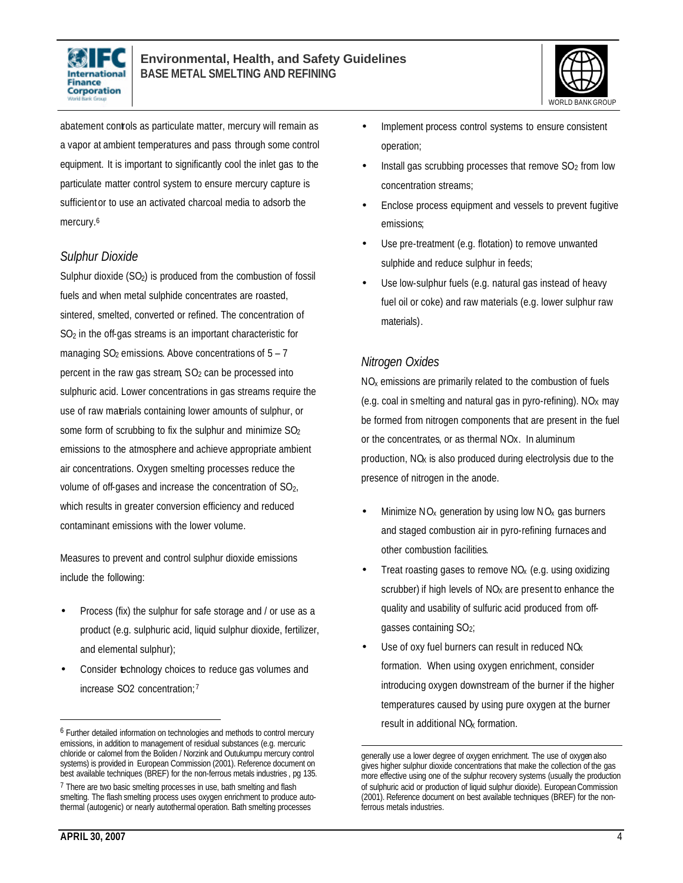



abatement controls as particulate matter, mercury will remain as a vapor at ambient temperatures and pass through some control equipment. It is important to significantly cool the inlet gas to the particulate matter control system to ensure mercury capture is sufficient or to use an activated charcoal media to adsorb the mercury.<sup>6</sup>

#### *Sulphur Dioxide*

Sulphur dioxide (SO<sub>2</sub>) is produced from the combustion of fossil fuels and when metal sulphide concentrates are roasted, sintered, smelted, converted or refined. The concentration of SO2 in the off-gas streams is an important characteristic for managing  $SO_2$  emissions. Above concentrations of  $5 - 7$ percent in the raw gas stream,  $SO<sub>2</sub>$  can be processed into sulphuric acid. Lower concentrations in gas streams require the use of raw materials containing lower amounts of sulphur, or some form of scrubbing to fix the sulphur and minimize SO<sup>2</sup> emissions to the atmosphere and achieve appropriate ambient air concentrations. Oxygen smelting processes reduce the volume of off-gases and increase the concentration of SO2, which results in greater conversion efficiency and reduced contaminant emissions with the lower volume.

Measures to prevent and control sulphur dioxide emissions include the following:

- Process (fix) the sulphur for safe storage and / or use as a product (e.g. sulphuric acid, liquid sulphur dioxide, fertilizer, and elemental sulphur);
- Consider technology choices to reduce gas volumes and increase SO2 concentration; 7
- Implement process control systems to ensure consistent operation;
- Install gas scrubbing processes that remove  $SO<sub>2</sub>$  from low concentration streams;
- Enclose process equipment and vessels to prevent fugitive emissions;
- Use pre-treatment (e.g. flotation) to remove unwanted sulphide and reduce sulphur in feeds;
- Use low-sulphur fuels (e.g. natural gas instead of heavy fuel oil or coke) and raw materials (e.g. lower sulphur raw materials).

### *Nitrogen Oxides*

 $\overline{a}$ 

 $NO<sub>x</sub>$  emissions are primarily related to the combustion of fuels (e.g. coal in smelting and natural gas in pyro-refining). NO<sub>x</sub> may be formed from nitrogen components that are present in the fuel or the concentrates, or as thermal NOx. In aluminum production, NO<sub>x</sub> is also produced during electrolysis due to the presence of nitrogen in the anode.

- Minimize  $NO<sub>x</sub>$  generation by using low  $NO<sub>x</sub>$  gas burners and staged combustion air in pyro-refining furnaces and other combustion facilities.
- Treat roasting gases to remove  $NO<sub>x</sub>$  (e.g. using oxidizing scrubber) if high levels of  $NO<sub>X</sub>$  are present to enhance the quality and usability of sulfuric acid produced from offgasses containing SO2;
- Use of oxy fuel burners can result in reduced  $NQ<sub>x</sub>$ formation. When using oxygen enrichment, consider introducing oxygen downstream of the burner if the higher temperatures caused by using pure oxygen at the burner result in additional  $NQ<sub>x</sub>$  formation.

<sup>6</sup> Further detailed information on technologies and methods to control mercury emissions, in addition to management of residual substances (e.g. mercuric chloride or calomel from the Boliden / Norzink and Outukumpu mercury control systems) is provided in European Commission (2001). Reference document on best available techniques (BREF) for the non-ferrous metals industries , pg 135.

<sup>&</sup>lt;sup>7</sup> There are two basic smelting processes in use, bath smelting and flash smelting. The flash smelting process uses oxygen enrichment to produce autothermal (autogenic) or nearly autothermal operation. Bath smelting processes

generally use a lower degree of oxygen enrichment. The use of oxygen also gives higher sulphur dioxide concentrations that make the collection of the gas more effective using one of the sulphur recovery systems (usually the production of sulphuric acid or production of liquid sulphur dioxide). European Commission (2001). Reference document on best available techniques (BREF) for the nonferrous metals industries.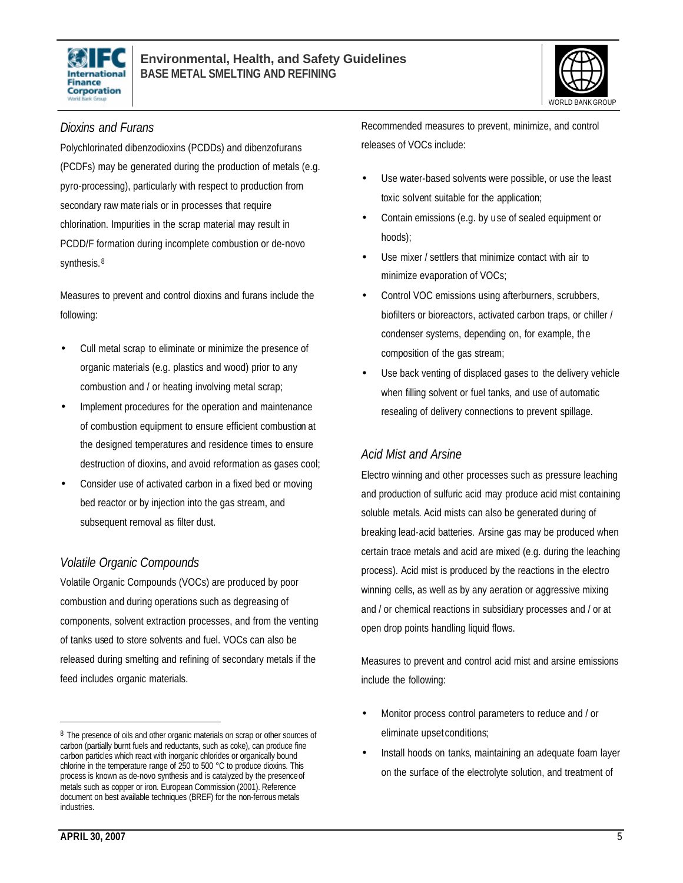



#### *Dioxins and Furans*

Polychlorinated dibenzodioxins (PCDDs) and dibenzofurans (PCDFs) may be generated during the production of metals (e.g. pyro-processing), particularly with respect to production from secondary raw materials or in processes that require chlorination. Impurities in the scrap material may result in PCDD/F formation during incomplete combustion or de-novo synthesis. <sup>8</sup>

Measures to prevent and control dioxins and furans include the following:

- Cull metal scrap to eliminate or minimize the presence of organic materials (e.g. plastics and wood) prior to any combustion and / or heating involving metal scrap;
- Implement procedures for the operation and maintenance of combustion equipment to ensure efficient combustion at the designed temperatures and residence times to ensure destruction of dioxins, and avoid reformation as gases cool;
- Consider use of activated carbon in a fixed bed or moving bed reactor or by injection into the gas stream, and subsequent removal as filter dust.

#### *Volatile Organic Compounds*

Volatile Organic Compounds (VOCs) are produced by poor combustion and during operations such as degreasing of components, solvent extraction processes, and from the venting of tanks used to store solvents and fuel. VOCs can also be released during smelting and refining of secondary metals if the feed includes organic materials.

Recommended measures to prevent, minimize, and control releases of VOCs include:

- Use water-based solvents were possible, or use the least toxic solvent suitable for the application;
- Contain emissions (e.g. by use of sealed equipment or hoods);
- Use mixer / settlers that minimize contact with air to minimize evaporation of VOCs;
- Control VOC emissions using afterburners, scrubbers, biofilters or bioreactors, activated carbon traps, or chiller / condenser systems, depending on, for example, the composition of the gas stream;
- Use back venting of displaced gases to the delivery vehicle when filling solvent or fuel tanks, and use of automatic resealing of delivery connections to prevent spillage.

#### *Acid Mist and Arsine*

Electro winning and other processes such as pressure leaching and production of sulfuric acid may produce acid mist containing soluble metals. Acid mists can also be generated during of breaking lead-acid batteries. Arsine gas may be produced when certain trace metals and acid are mixed (e.g. during the leaching process). Acid mist is produced by the reactions in the electro winning cells, as well as by any aeration or aggressive mixing and / or chemical reactions in subsidiary processes and / or at open drop points handling liquid flows.

Measures to prevent and control acid mist and arsine emissions include the following:

- Monitor process control parameters to reduce and / or eliminate upset conditions;
- Install hoods on tanks, maintaining an adequate foam layer on the surface of the electrolyte solution, and treatment of

<sup>8</sup> The presence of oils and other organic materials on scrap or other sources of carbon (partially burnt fuels and reductants, such as coke), can produce fine carbon particles which react with inorganic chlorides or organically bound chlorine in the temperature range of 250 to 500 °C to produce dioxins. This process is known as de-novo synthesis and is catalyzed by the presenceof metals such as copper or iron. European Commission (2001). Reference document on best available techniques (BREF) for the non-ferrous metals industries.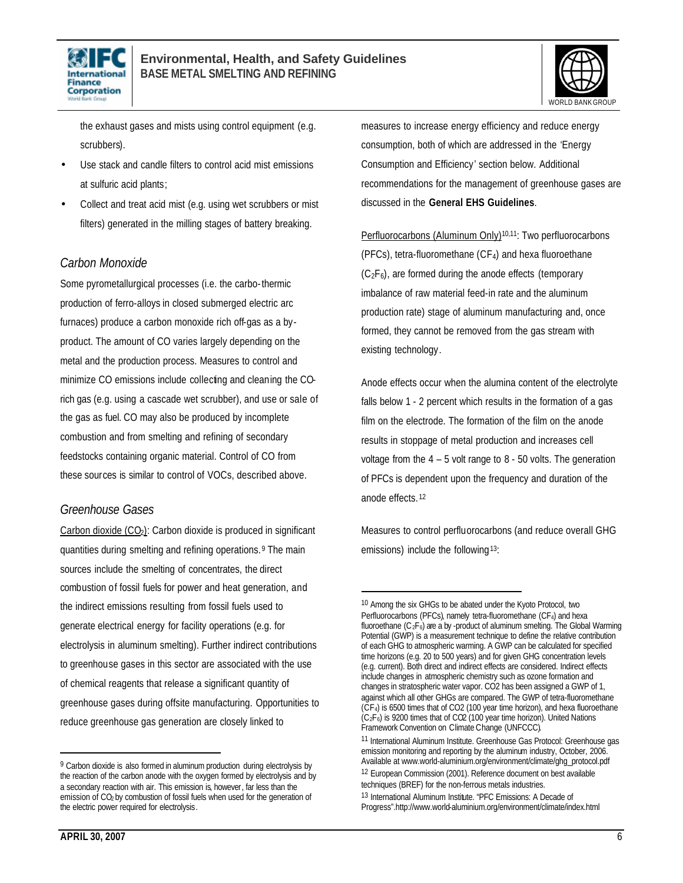



the exhaust gases and mists using control equipment (e.g. scrubbers).

- Use stack and candle filters to control acid mist emissions at sulfuric acid plants;
- Collect and treat acid mist (e.g. using wet scrubbers or mist filters) generated in the milling stages of battery breaking.

### *Carbon Monoxide*

Some pyrometallurgical processes (i.e. the carbo-thermic production of ferro-alloys in closed submerged electric arc furnaces) produce a carbon monoxide rich off-gas as a byproduct. The amount of CO varies largely depending on the metal and the production process. Measures to control and minimize CO emissions include collecting and cleaning the COrich gas (e.g. using a cascade wet scrubber), and use or sale of the gas as fuel. CO may also be produced by incomplete combustion and from smelting and refining of secondary feedstocks containing organic material. Control of CO from these sources is similar to control of VOCs, described above.

#### *Greenhouse Gases*

Carbon dioxide (CO<sub>2</sub>): Carbon dioxide is produced in significant quantities during smelting and refining operations. <sup>9</sup> The main sources include the smelting of concentrates, the direct combustion of fossil fuels for power and heat generation, and the indirect emissions resulting from fossil fuels used to generate electrical energy for facility operations (e.g. for electrolysis in aluminum smelting). Further indirect contributions to greenhouse gases in this sector are associated with the use of chemical reagents that release a significant quantity of greenhouse gases during offsite manufacturing. Opportunities to reduce greenhouse gas generation are closely linked to

measures to increase energy efficiency and reduce energy consumption, both of which are addressed in the 'Energy Consumption and Efficiency' section below. Additional recommendations for the management of greenhouse gases are discussed in the **General EHS Guidelines**.

Perfluorocarbons (Aluminum Only)<sup>10,11</sup>: Two perfluorocarbons (PFCs), tetra-fluoromethane (CF4) and hexa fluoroethane  $(C_2F_6)$ , are formed during the anode effects (temporary imbalance of raw material feed-in rate and the aluminum production rate) stage of aluminum manufacturing and, once formed, they cannot be removed from the gas stream with existing technology.

Anode effects occur when the alumina content of the electrolyte falls below 1 - 2 percent which results in the formation of a gas film on the electrode. The formation of the film on the anode results in stoppage of metal production and increases cell voltage from the 4 – 5 volt range to 8 - 50 volts. The generation of PFCs is dependent upon the frequency and duration of the anode effects. <sup>12</sup>

Measures to control perfluorocarbons (and reduce overall GHG emissions) include the following<sup>13</sup>:

 $\overline{a}$ 

<sup>9</sup> Carbon dioxide is also formed in aluminum production during electrolysis by the reaction of the carbon anode with the oxygen formed by electrolysis and by a secondary reaction with air. This emission is, however, far less than the emission of CO2 by combustion of fossil fuels when used for the generation of the electric power required for electrolysis.

<sup>10</sup> Among the six GHGs to be abated under the Kyoto Protocol, two Perfluorocarbons (PFCs), namely tetra-fluoromethane (CF $_4$ ) and hexa fluoroethane  $(C_2F_6)$  are a by -product of aluminum smelting. The Global Warming Potential (GWP) is a measurement technique to define the relative contribution of each GHG to atmospheric warming. A GWP can be calculated for specified time horizons (e.g. 20 to 500 years) and for given GHG concentration levels (e.g. current). Both direct and indirect effects are considered. Indirect effects include changes in atmospheric chemistry such as ozone formation and changes in stratospheric water vapor. CO2 has been assigned a GWP of 1, against which all other GHGs are compared. The GWP of tetra-fluoromethane  $(\check{CF}_4)$  is 6500 times that of CO2 (100 year time horizon), and hexa fluoroethane  $(C_2F_6)$  is 9200 times that of CO2 (100 year time horizon). United Nations Framework Convention on Climate Change (UNFCCC).

<sup>11</sup> International Aluminum Institute. Greenhouse Gas Protocol: Greenhouse gas emission monitoring and reporting by the aluminum industry, October, 2006. Available at www.world-aluminium.org/environment/climate/ghg\_protocol.pdf 12 European Commission (2001). Reference document on best available techniques (BREF) for the non-ferrous metals industries.

<sup>13</sup> International Aluminum Institute. "PFC Emissions: A Decade of Progress".http://www.world-aluminium.org/environment/climate/index.html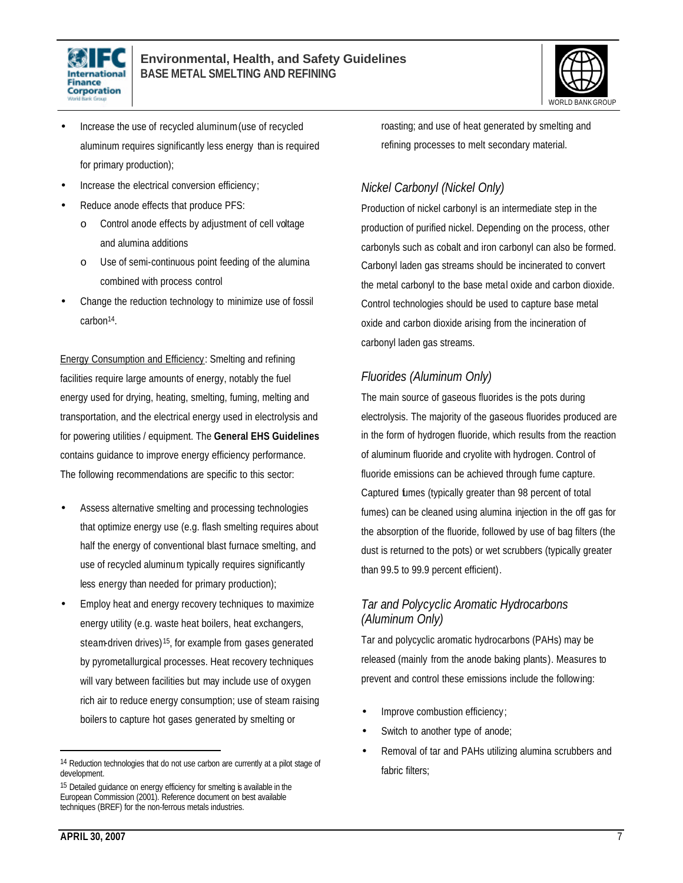



- Increase the use of recycled aluminum (use of recycled aluminum requires significantly less energy than is required for primary production);
- Increase the electrical conversion efficiency;
- Reduce anode effects that produce PFS:
	- o Control anode effects by adjustment of cell voltage and alumina additions
	- o Use of semi-continuous point feeding of the alumina combined with process control
- Change the reduction technology to minimize use of fossil carbon14.

Energy Consumption and Efficiency: Smelting and refining facilities require large amounts of energy, notably the fuel energy used for drying, heating, smelting, fuming, melting and transportation, and the electrical energy used in electrolysis and for powering utilities / equipment. The **General EHS Guidelines** contains guidance to improve energy efficiency performance. The following recommendations are specific to this sector:

- Assess alternative smelting and processing technologies that optimize energy use (e.g. flash smelting requires about half the energy of conventional blast furnace smelting, and use of recycled aluminum typically requires significantly less energy than needed for primary production);
- Employ heat and energy recovery techniques to maximize energy utility (e.g. waste heat boilers, heat exchangers, steam-driven drives) <sup>15</sup>, for example from gases generated by pyrometallurgical processes. Heat recovery techniques will vary between facilities but may include use of oxygen rich air to reduce energy consumption; use of steam raising boilers to capture hot gases generated by smelting or

roasting; and use of heat generated by smelting and refining processes to melt secondary material.

# *Nickel Carbonyl (Nickel Only)*

Production of nickel carbonyl is an intermediate step in the production of purified nickel. Depending on the process, other carbonyls such as cobalt and iron carbonyl can also be formed. Carbonyl laden gas streams should be incinerated to convert the metal carbonyl to the base metal oxide and carbon dioxide. Control technologies should be used to capture base metal oxide and carbon dioxide arising from the incineration of carbonyl laden gas streams.

# *Fluorides (Aluminum Only)*

The main source of gaseous fluorides is the pots during electrolysis. The majority of the gaseous fluorides produced are in the form of hydrogen fluoride, which results from the reaction of aluminum fluoride and cryolite with hydrogen. Control of fluoride emissions can be achieved through fume capture. Captured fumes (typically greater than 98 percent of total fumes) can be cleaned using alumina injection in the off gas for the absorption of the fluoride, followed by use of bag filters (the dust is returned to the pots) or wet scrubbers (typically greater than 99.5 to 99.9 percent efficient).

# *Tar and Polycyclic Aromatic Hydrocarbons (Aluminum Only)*

Tar and polycyclic aromatic hydrocarbons (PAHs) may be released (mainly from the anode baking plants). Measures to prevent and control these emissions include the following:

- Improve combustion efficiency;
- Switch to another type of anode;
- Removal of tar and PAHs utilizing alumina scrubbers and fabric filters;

<sup>14</sup> Reduction technologies that do not use carbon are currently at a pilot stage of development.

<sup>15</sup> Detailed guidance on energy efficiency for smelting is available in the European Commission (2001). Reference document on best available techniques (BREF) for the non-ferrous metals industries.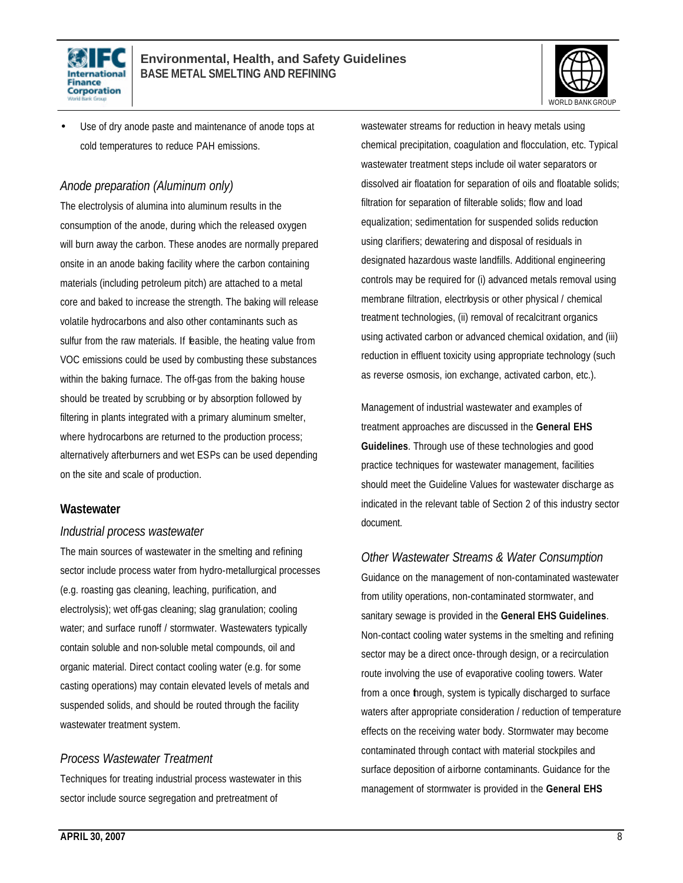



Use of dry anode paste and maintenance of anode tops at cold temperatures to reduce PAH emissions.

### *Anode preparation (Aluminum only)*

The electrolysis of alumina into aluminum results in the consumption of the anode, during which the released oxygen will burn away the carbon. These anodes are normally prepared onsite in an anode baking facility where the carbon containing materials (including petroleum pitch) are attached to a metal core and baked to increase the strength. The baking will release volatile hydrocarbons and also other contaminants such as sulfur from the raw materials. If feasible, the heating value from VOC emissions could be used by combusting these substances within the baking furnace. The off-gas from the baking house should be treated by scrubbing or by absorption followed by filtering in plants integrated with a primary aluminum smelter, where hydrocarbons are returned to the production process; alternatively afterburners and wet ESPs can be used depending on the site and scale of production.

#### **Wastewater**

#### *Industrial process wastewater*

The main sources of wastewater in the smelting and refining sector include process water from hydro-metallurgical processes (e.g. roasting gas cleaning, leaching, purification, and electrolysis); wet off-gas cleaning; slag granulation; cooling water; and surface runoff / stormwater. Wastewaters typically contain soluble and non-soluble metal compounds, oil and organic material. Direct contact cooling water (e.g. for some casting operations) may contain elevated levels of metals and suspended solids, and should be routed through the facility wastewater treatment system.

#### *Process Wastewater Treatment*

Techniques for treating industrial process wastewater in this sector include source segregation and pretreatment of

wastewater streams for reduction in heavy metals using chemical precipitation, coagulation and flocculation, etc. Typical wastewater treatment steps include oil water separators or dissolved air floatation for separation of oils and floatable solids; filtration for separation of filterable solids; flow and load equalization; sedimentation for suspended solids reduction using clarifiers; dewatering and disposal of residuals in designated hazardous waste landfills. Additional engineering controls may be required for (i) advanced metals removal using membrane filtration, electrloysis or other physical / chemical treatment technologies, (ii) removal of recalcitrant organics using activated carbon or advanced chemical oxidation, and (iii) reduction in effluent toxicity using appropriate technology (such as reverse osmosis, ion exchange, activated carbon, etc.).

Management of industrial wastewater and examples of treatment approaches are discussed in the **General EHS Guidelines**. Through use of these technologies and good practice techniques for wastewater management, facilities should meet the Guideline Values for wastewater discharge as indicated in the relevant table of Section 2 of this industry sector document.

#### *Other Wastewater Streams & Water Consumption*

Guidance on the management of non-contaminated wastewater from utility operations, non-contaminated stormwater, and sanitary sewage is provided in the **General EHS Guidelines**. Non-contact cooling water systems in the smelting and refining sector may be a direct once-through design, or a recirculation route involving the use of evaporative cooling towers. Water from a once through, system is typically discharged to surface waters after appropriate consideration / reduction of temperature effects on the receiving water body. Stormwater may become contaminated through contact with material stockpiles and surface deposition of airborne contaminants. Guidance for the management of stormwater is provided in the **General EHS**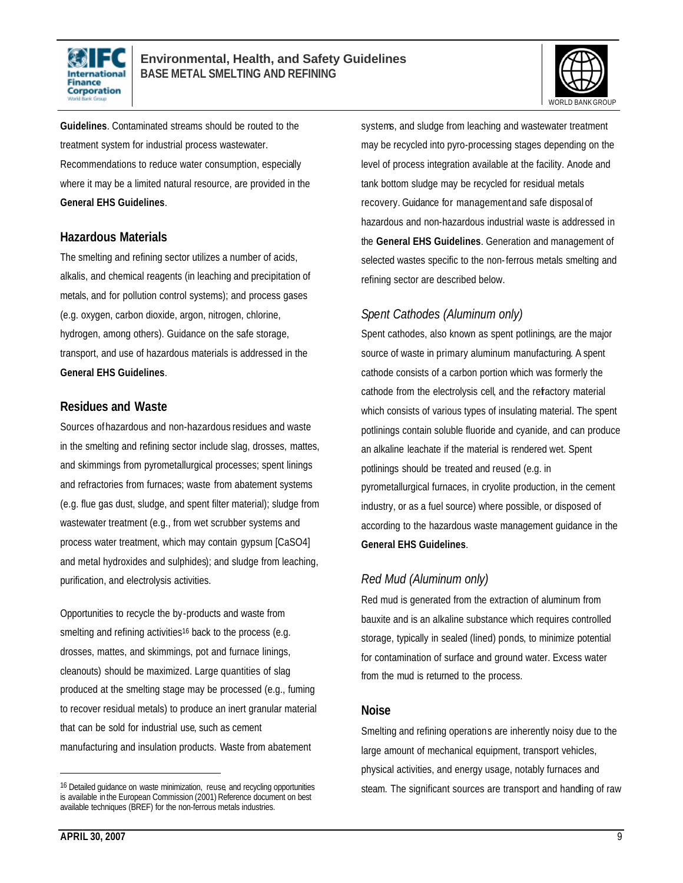



**Guidelines**. Contaminated streams should be routed to the treatment system for industrial process wastewater. Recommendations to reduce water consumption, especially where it may be a limited natural resource, are provided in the **General EHS Guidelines**.

#### **Hazardous Materials**

The smelting and refining sector utilizes a number of acids, alkalis, and chemical reagents (in leaching and precipitation of metals, and for pollution control systems); and process gases (e.g. oxygen, carbon dioxide, argon, nitrogen, chlorine, hydrogen, among others). Guidance on the safe storage, transport, and use of hazardous materials is addressed in the **General EHS Guidelines**.

#### **Residues and Waste**

Sources of hazardous and non-hazardous residues and waste in the smelting and refining sector include slag, drosses, mattes, and skimmings from pyrometallurgical processes; spent linings and refractories from furnaces; waste from abatement systems (e.g. flue gas dust, sludge, and spent filter material); sludge from wastewater treatment (e.g., from wet scrubber systems and process water treatment, which may contain gypsum [CaSO4] and metal hydroxides and sulphides); and sludge from leaching, purification, and electrolysis activities.

Opportunities to recycle the by-products and waste from smelting and refining activities<sup>16</sup> back to the process (e.g. drosses, mattes, and skimmings, pot and furnace linings, cleanouts) should be maximized. Large quantities of slag produced at the smelting stage may be processed (e.g., fuming to recover residual metals) to produce an inert granular material that can be sold for industrial use, such as cement manufacturing and insulation products. Waste from abatement

systems, and sludge from leaching and wastewater treatment may be recycled into pyro-processing stages depending on the level of process integration available at the facility. Anode and tank bottom sludge may be recycled for residual metals recovery. Guidance for management and safe disposal of hazardous and non-hazardous industrial waste is addressed in the **General EHS Guidelines**. Generation and management of selected wastes specific to the non-ferrous metals smelting and refining sector are described below.

# *Spent Cathodes (Aluminum only)*

Spent cathodes, also known as spent potlinings, are the major source of waste in primary aluminum manufacturing. A spent cathode consists of a carbon portion which was formerly the cathode from the electrolysis cell, and the refractory material which consists of various types of insulating material. The spent potlinings contain soluble fluoride and cyanide, and can produce an alkaline leachate if the material is rendered wet. Spent potlinings should be treated and reused (e.g. in pyrometallurgical furnaces, in cryolite production, in the cement industry, or as a fuel source) where possible, or disposed of according to the hazardous waste management guidance in the **General EHS Guidelines**.

# *Red Mud (Aluminum only)*

Red mud is generated from the extraction of aluminum from bauxite and is an alkaline substance which requires controlled storage, typically in sealed (lined) ponds, to minimize potential for contamination of surface and ground water. Excess water from the mud is returned to the process.

#### **Noise**

Smelting and refining operations are inherently noisy due to the large amount of mechanical equipment, transport vehicles, physical activities, and energy usage, notably furnaces and steam. The significant sources are transport and handling of raw

<sup>16</sup> Detailed guidance on waste minimization, reuse, and recycling opportunities is available in the European Commission (2001) Reference document on best available techniques (BREF) for the non-ferrous metals industries.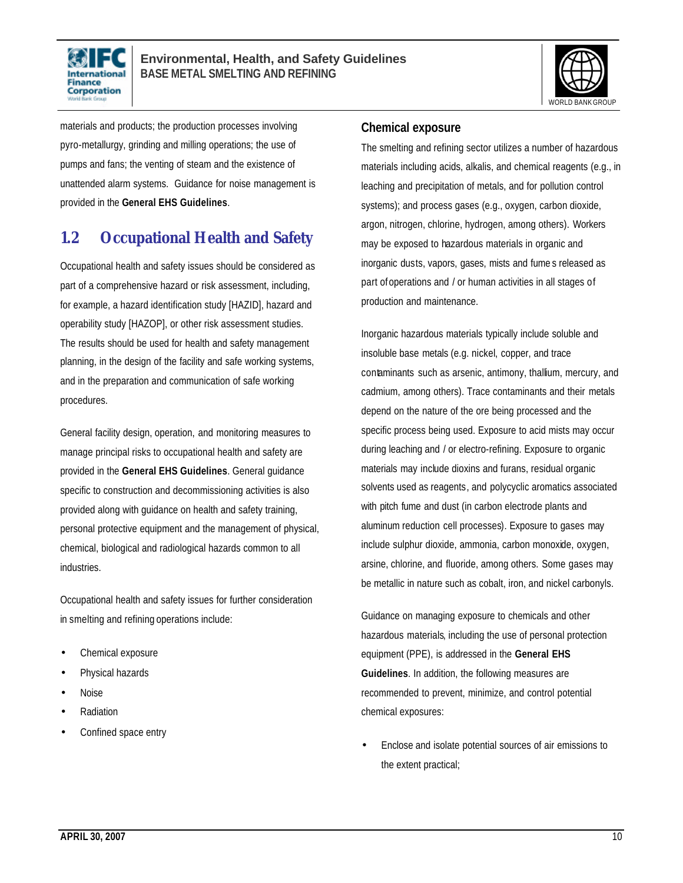



materials and products; the production processes involving pyro-metallurgy, grinding and milling operations; the use of pumps and fans; the venting of steam and the existence of unattended alarm systems. Guidance for noise management is provided in the **General EHS Guidelines**.

# **1.2 Occupational Health and Safety**

Occupational health and safety issues should be considered as part of a comprehensive hazard or risk assessment, including, for example, a hazard identification study [HAZID], hazard and operability study [HAZOP], or other risk assessment studies. The results should be used for health and safety management planning, in the design of the facility and safe working systems, and in the preparation and communication of safe working procedures.

General facility design, operation, and monitoring measures to manage principal risks to occupational health and safety are provided in the **General EHS Guidelines**. General guidance specific to construction and decommissioning activities is also provided along with guidance on health and safety training, personal protective equipment and the management of physical, chemical, biological and radiological hazards common to all industries.

Occupational health and safety issues for further consideration in smelting and refining operations include:

- Chemical exposure
- Physical hazards
- Noise
- Radiation
- Confined space entry

#### **Chemical exposure**

The smelting and refining sector utilizes a number of hazardous materials including acids, alkalis, and chemical reagents (e.g., in leaching and precipitation of metals, and for pollution control systems); and process gases (e.g., oxygen, carbon dioxide, argon, nitrogen, chlorine, hydrogen, among others). Workers may be exposed to hazardous materials in organic and inorganic dusts, vapors, gases, mists and fume s released as part of operations and / or human activities in all stages of production and maintenance.

Inorganic hazardous materials typically include soluble and insoluble base metals (e.g. nickel, copper, and trace contaminants such as arsenic, antimony, thallium, mercury, and cadmium, among others). Trace contaminants and their metals depend on the nature of the ore being processed and the specific process being used. Exposure to acid mists may occur during leaching and / or electro-refining. Exposure to organic materials may include dioxins and furans, residual organic solvents used as reagents, and polycyclic aromatics associated with pitch fume and dust (in carbon electrode plants and aluminum reduction cell processes). Exposure to gases may include sulphur dioxide, ammonia, carbon monoxide, oxygen, arsine, chlorine, and fluoride, among others. Some gases may be metallic in nature such as cobalt, iron, and nickel carbonyls.

Guidance on managing exposure to chemicals and other hazardous materials, including the use of personal protection equipment (PPE), is addressed in the **General EHS Guidelines**. In addition, the following measures are recommended to prevent, minimize, and control potential chemical exposures:

• Enclose and isolate potential sources of air emissions to the extent practical;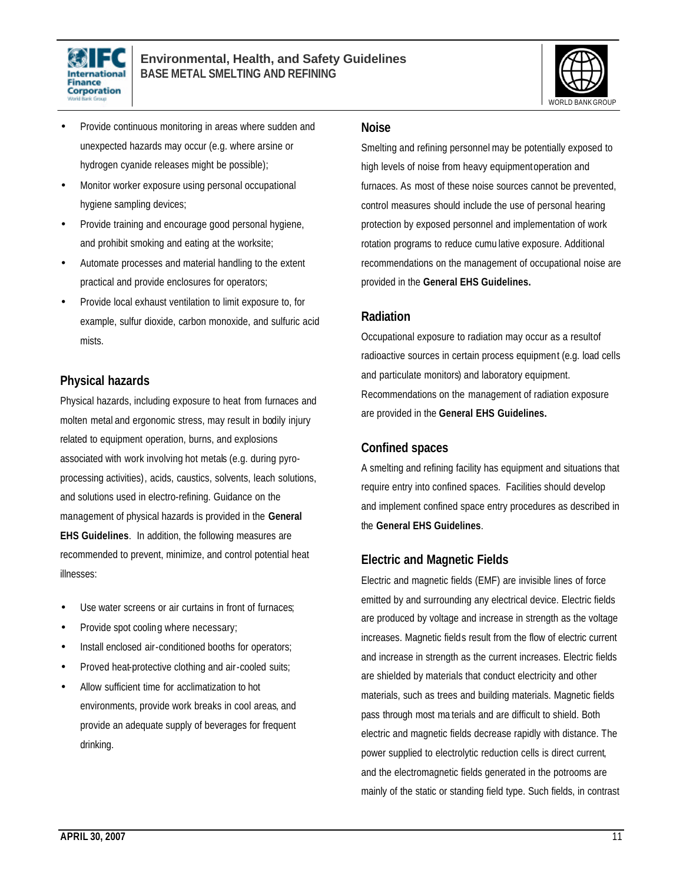



- Provide continuous monitoring in areas where sudden and unexpected hazards may occur (e.g. where arsine or hydrogen cyanide releases might be possible);
- Monitor worker exposure using personal occupational hygiene sampling devices;
- Provide training and encourage good personal hygiene, and prohibit smoking and eating at the worksite;
- Automate processes and material handling to the extent practical and provide enclosures for operators;
- Provide local exhaust ventilation to limit exposure to, for example, sulfur dioxide, carbon monoxide, and sulfuric acid mists.

### **Physical hazards**

Physical hazards, including exposure to heat from furnaces and molten metal and ergonomic stress, may result in bodily injury related to equipment operation, burns, and explosions associated with work involving hot metals (e.g. during pyroprocessing activities), acids, caustics, solvents, leach solutions, and solutions used in electro-refining. Guidance on the management of physical hazards is provided in the **General EHS Guidelines**. In addition, the following measures are recommended to prevent, minimize, and control potential heat illnesses:

- Use water screens or air curtains in front of furnaces;
- Provide spot cooling where necessary;
- Install enclosed air-conditioned booths for operators;
- Proved heat-protective clothing and air-cooled suits;
- Allow sufficient time for acclimatization to hot environments, provide work breaks in cool areas, and provide an adequate supply of beverages for frequent drinking.

#### **Noise**

Smelting and refining personnel may be potentially exposed to high levels of noise from heavy equipment operation and furnaces. As most of these noise sources cannot be prevented, control measures should include the use of personal hearing protection by exposed personnel and implementation of work rotation programs to reduce cumu lative exposure. Additional recommendations on the management of occupational noise are provided in the **General EHS Guidelines.**

#### **Radiation**

Occupational exposure to radiation may occur as a resultof radioactive sources in certain process equipment (e.g. load cells and particulate monitors) and laboratory equipment. Recommendations on the management of radiation exposure are provided in the **General EHS Guidelines.**

#### **Confined spaces**

A smelting and refining facility has equipment and situations that require entry into confined spaces. Facilities should develop and implement confined space entry procedures as described in the **General EHS Guidelines**.

#### **Electric and Magnetic Fields**

Electric and magnetic fields (EMF) are invisible lines of force emitted by and surrounding any electrical device. Electric fields are produced by voltage and increase in strength as the voltage increases. Magnetic fields result from the flow of electric current and increase in strength as the current increases. Electric fields are shielded by materials that conduct electricity and other materials, such as trees and building materials. Magnetic fields pass through most ma terials and are difficult to shield. Both electric and magnetic fields decrease rapidly with distance. The power supplied to electrolytic reduction cells is direct current, and the electromagnetic fields generated in the potrooms are mainly of the static or standing field type. Such fields, in contrast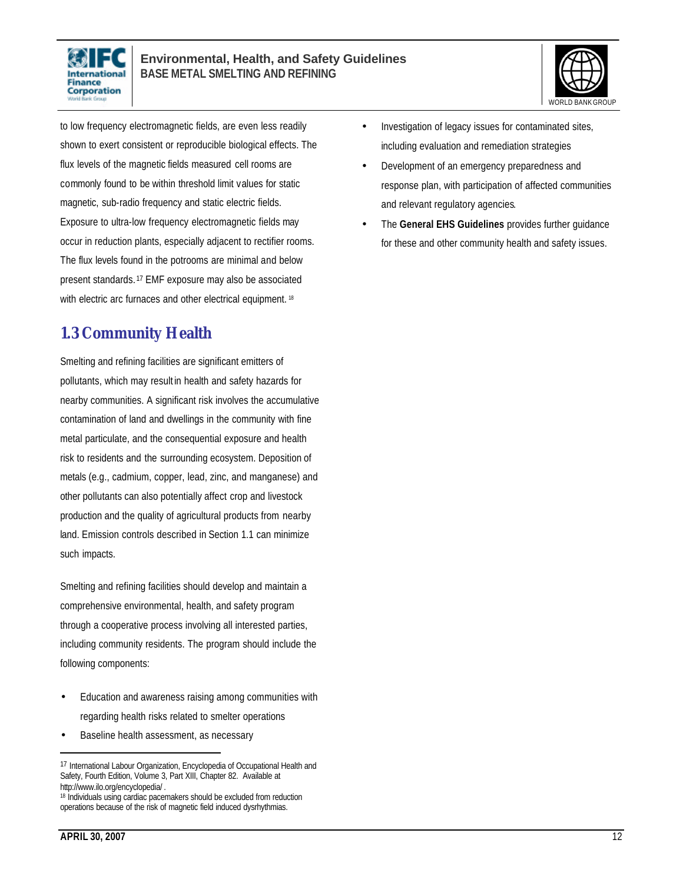



to low frequency electromagnetic fields, are even less readily shown to exert consistent or reproducible biological effects. The flux levels of the magnetic fields measured cell rooms are commonly found to be within threshold limit values for static magnetic, sub-radio frequency and static electric fields. Exposure to ultra-low frequency electromagnetic fields may occur in reduction plants, especially adjacent to rectifier rooms. The flux levels found in the potrooms are minimal and below present standards. <sup>17</sup> EMF exposure may also be associated with electric arc furnaces and other electrical equipment. 18

# **1.3 Community Health**

Smelting and refining facilities are significant emitters of pollutants, which may result in health and safety hazards for nearby communities. A significant risk involves the accumulative contamination of land and dwellings in the community with fine metal particulate, and the consequential exposure and health risk to residents and the surrounding ecosystem. Deposition of metals (e.g., cadmium, copper, lead, zinc, and manganese) and other pollutants can also potentially affect crop and livestock production and the quality of agricultural products from nearby land. Emission controls described in Section 1.1 can minimize such impacts.

Smelting and refining facilities should develop and maintain a comprehensive environmental, health, and safety program through a cooperative process involving all interested parties, including community residents. The program should include the following components:

- Education and awareness raising among communities with regarding health risks related to smelter operations
- Baseline health assessment, as necessary
- Investigation of legacy issues for contaminated sites, including evaluation and remediation strategies
	- Development of an emergency preparedness and response plan, with participation of affected communities and relevant regulatory agencies.
	- The **General EHS Guidelines** provides further guidance for these and other community health and safety issues.

<sup>17</sup> International Labour Organization, Encyclopedia of Occupational Health and Safety, Fourth Edition, Volume 3, Part XIII, Chapter 82. Available at http://www.ilo.org/encyclopedia/ .

<sup>&</sup>lt;sup>18</sup> Individuals using cardiac pacemakers should be excluded from reduction operations because of the risk of magnetic field induced dysrhythmias.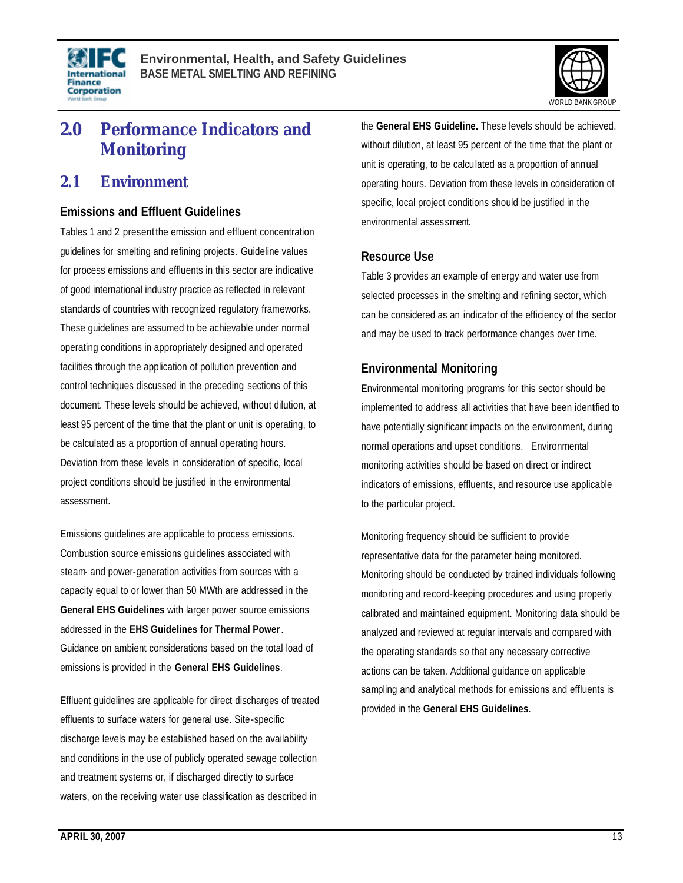



# **2.0 Performance Indicators and Monitoring**

# **2.1 Environment**

#### **Emissions and Effluent Guidelines**

Tables 1 and 2 present the emission and effluent concentration guidelines for smelting and refining projects. Guideline values for process emissions and effluents in this sector are indicative of good international industry practice as reflected in relevant standards of countries with recognized regulatory frameworks. These guidelines are assumed to be achievable under normal operating conditions in appropriately designed and operated facilities through the application of pollution prevention and control techniques discussed in the preceding sections of this document. These levels should be achieved, without dilution, at least 95 percent of the time that the plant or unit is operating, to be calculated as a proportion of annual operating hours. Deviation from these levels in consideration of specific, local project conditions should be justified in the environmental assessment.

Emissions guidelines are applicable to process emissions. Combustion source emissions guidelines associated with steam- and power-generation activities from sources with a capacity equal to or lower than 50 MWth are addressed in the **General EHS Guidelines** with larger power source emissions addressed in the **EHS Guidelines for Thermal Power**. Guidance on ambient considerations based on the total load of emissions is provided in the **General EHS Guidelines**.

Effluent guidelines are applicable for direct discharges of treated effluents to surface waters for general use. Site-specific discharge levels may be established based on the availability and conditions in the use of publicly operated sewage collection and treatment systems or, if discharged directly to surface waters, on the receiving water use classification as described in

the **General EHS Guideline.** These levels should be achieved, without dilution, at least 95 percent of the time that the plant or unit is operating, to be calculated as a proportion of annual operating hours. Deviation from these levels in consideration of specific, local project conditions should be justified in the environmental assessment.

#### **Resource Use**

Table 3 provides an example of energy and water use from selected processes in the smelting and refining sector, which can be considered as an indicator of the efficiency of the sector and may be used to track performance changes over time.

### **Environmental Monitoring**

Environmental monitoring programs for this sector should be implemented to address all activities that have been identified to have potentially significant impacts on the environment, during normal operations and upset conditions. Environmental monitoring activities should be based on direct or indirect indicators of emissions, effluents, and resource use applicable to the particular project.

Monitoring frequency should be sufficient to provide representative data for the parameter being monitored. Monitoring should be conducted by trained individuals following monitoring and record-keeping procedures and using properly calibrated and maintained equipment. Monitoring data should be analyzed and reviewed at regular intervals and compared with the operating standards so that any necessary corrective actions can be taken. Additional guidance on applicable sampling and analytical methods for emissions and effluents is provided in the **General EHS Guidelines**.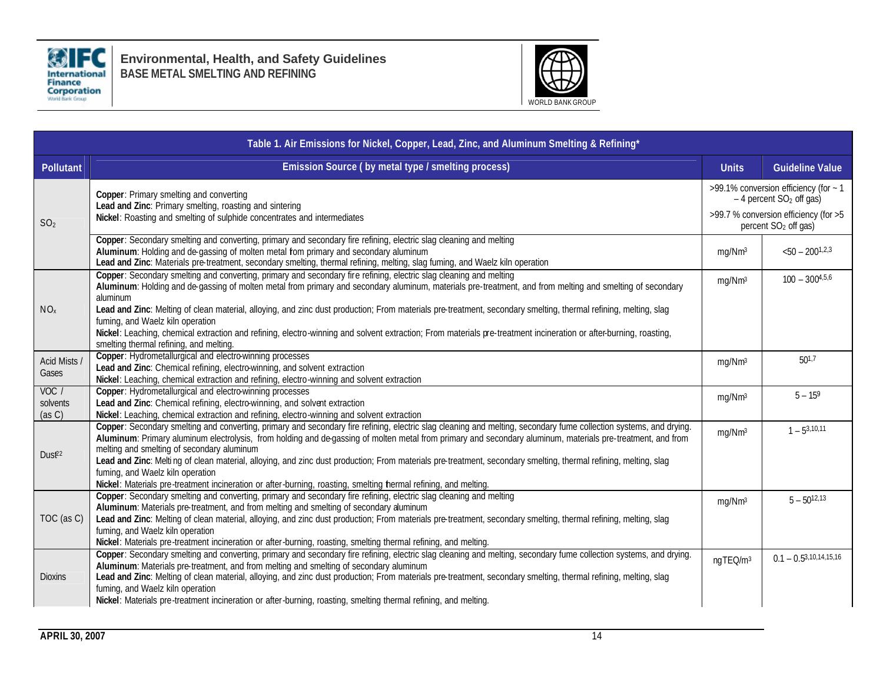

**Environmental, Health, and Safety Guidelines BASE METAL SMELTING AND REFINING**



| Table 1. Air Emissions for Nickel, Copper, Lead, Zinc, and Aluminum Smelting & Refining* |                                                                                                                                                                                                                                                                                                                                                                                                                                                                                                                                                                                                                                                                                                           |                                                                                                                                                             |                               |  |  |  |
|------------------------------------------------------------------------------------------|-----------------------------------------------------------------------------------------------------------------------------------------------------------------------------------------------------------------------------------------------------------------------------------------------------------------------------------------------------------------------------------------------------------------------------------------------------------------------------------------------------------------------------------------------------------------------------------------------------------------------------------------------------------------------------------------------------------|-------------------------------------------------------------------------------------------------------------------------------------------------------------|-------------------------------|--|--|--|
| <b>Pollutant</b>                                                                         | Emission Source (by metal type / smelting process)                                                                                                                                                                                                                                                                                                                                                                                                                                                                                                                                                                                                                                                        | <b>Units</b>                                                                                                                                                | <b>Guideline Value</b>        |  |  |  |
| SO <sub>2</sub>                                                                          | Copper: Primary smelting and converting<br>Lead and Zinc: Primary smelting, roasting and sintering<br>Nickel: Roasting and smelting of sulphide concentrates and intermediates                                                                                                                                                                                                                                                                                                                                                                                                                                                                                                                            | >99.1% conversion efficiency (for ~ 1<br>$-4$ percent SO <sub>2</sub> off gas)<br>>99.7 % conversion efficiency (for >5<br>percent SO <sub>2</sub> off gas) |                               |  |  |  |
|                                                                                          | Copper: Secondary smelting and converting, primary and secondary fire refining, electric slag cleaning and melting<br>Aluminum: Holding and de-gassing of molten metal fom primary and secondary aluminum<br>Lead and Zinc: Materials pre-treatment, secondary smelting, thermal refining, melting, slag fuming, and Waelz kiln operation                                                                                                                                                                                                                                                                                                                                                                 | mg/Nm <sup>3</sup>                                                                                                                                          | $<$ 50 - 200 <sup>1,2,3</sup> |  |  |  |
| NO <sub>x</sub>                                                                          | Copper: Secondary smelting and converting, primary and secondary fire refining, electric slag cleaning and melting<br>Aluminum: Holding and de-gassing of molten metal from primary and secondary aluminum, materials pre-treatment, and from melting and smelting of secondary<br>aluminum                                                                                                                                                                                                                                                                                                                                                                                                               | mg/Nm <sup>3</sup>                                                                                                                                          | $100 - 300^{4,5,6}$           |  |  |  |
|                                                                                          | Lead and Zinc: Melting of clean material, alloying, and zinc dust production; From materials pre-treatment, secondary smelting, thermal refining, melting, slag<br>fuming, and Waelz kiln operation<br>Nickel: Leaching, chemical extraction and refining, electro-winning and solvent extraction; From materials pre-treatment incineration or after-burning, roasting,<br>smelting thermal refining, and melting.                                                                                                                                                                                                                                                                                       |                                                                                                                                                             |                               |  |  |  |
| Acid Mists /<br>Gases                                                                    | Copper: Hydrometallurgical and electro-winning processes<br>Lead and Zinc: Chemical refining, electro-winning, and solvent extraction<br>Nickel: Leaching, chemical extraction and refining, electro-winning and solvent extraction                                                                                                                                                                                                                                                                                                                                                                                                                                                                       | mg/Nm <sup>3</sup>                                                                                                                                          | $50^{1.7}$                    |  |  |  |
| VOC /<br>solvents<br>(as C)                                                              | Copper: Hydrometallurgical and electro-winning processes<br>Lead and Zinc: Chemical refining, electro-winning, and solvent extraction<br>Nickel: Leaching, chemical extraction and refining, electro-winning and solvent extraction                                                                                                                                                                                                                                                                                                                                                                                                                                                                       | mg/Nm <sup>3</sup>                                                                                                                                          | $5 - 15^9$                    |  |  |  |
| Dust <sup>22</sup>                                                                       | Copper: Secondary smelting and converting, primary and secondary fire refining, electric slag cleaning and melting, secondary fume collection systems, and drying.<br>Aluminum: Primary aluminum electrolysis, from holding and de-gassing of molten metal from primary and secondary aluminum, materials pre-treatment, and from<br>melting and smelting of secondary aluminum<br>Lead and Zinc: Melting of clean material, alloying, and zinc dust production; From materials pre-treatment, secondary smelting, thermal refining, melting, slag<br>fuming, and Waelz kiln operation<br>Nickel: Materials pre-treatment incineration or after-burning, roasting, smelting hermal refining, and melting. | mg/Nm <sup>3</sup>                                                                                                                                          | $1 - 53,10,11$                |  |  |  |
| TOC (as C)                                                                               | Copper: Secondary smelting and converting, primary and secondary fire refining, electric slag cleaning and melting<br>Aluminum: Materials pre-treatment, and from melting and smelting of secondary aluminum<br>Lead and Zinc: Melting of clean material, alloying, and zinc dust production; From materials pre-treatment, secondary smelting, thermal refining, melting, slag<br>fuming, and Waelz kiln operation<br>Nickel: Materials pre-treatment incineration or after-burning, roasting, smelting thermal refining, and melting.                                                                                                                                                                   | mg/Nm <sup>3</sup>                                                                                                                                          | $5 - 50^{12,13}$              |  |  |  |
| <b>Dioxins</b>                                                                           | Copper: Secondary smelting and converting, primary and secondary fire refining, electric slag cleaning and melting, secondary fume collection systems, and drying.<br>Aluminum: Materials pre-treatment, and from melting and smelting of secondary aluminum<br>Lead and Zinc: Melting of clean material, alloying, and zinc dust production; From materials pre-treatment, secondary smelting, thermal refining, melting, slag<br>fuming, and Waelz kiln operation<br>Nickel: Materials pre-treatment incineration or after-burning, roasting, smelting thermal refining, and melting.                                                                                                                   | ngTEQ/m <sup>3</sup>                                                                                                                                        | $0.1 - 0.5^{3,10,14,15,16}$   |  |  |  |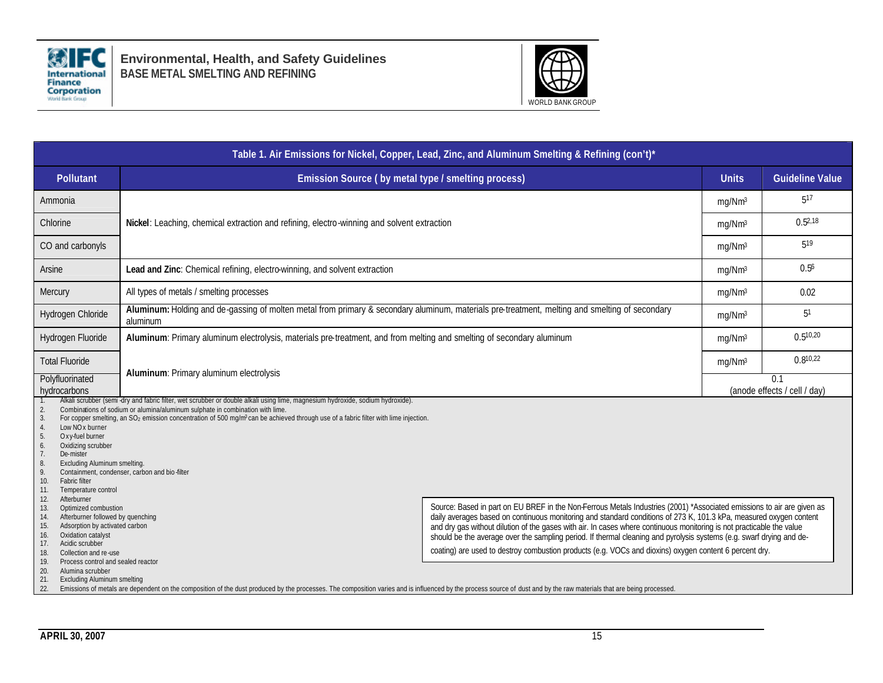

**Environmental, Health, and Safety Guidelines BASE METAL SMELTING AND REFINING**



| Table 1. Air Emissions for Nickel, Copper, Lead, Zinc, and Aluminum Smelting & Refining (con't)*                                                                                                                                                                                                                                                                                                                                                                                                                                                                                                                                                                                                                                                                                                                                                                                                                                                                                                                                                                                                                                                                                                                                                                                                                                                                                                                                                                                                                                                                                                                                                                                                                                                                                                                                                                            |                                                                                                                                                            |  |                    |                                     |  |  |  |
|-----------------------------------------------------------------------------------------------------------------------------------------------------------------------------------------------------------------------------------------------------------------------------------------------------------------------------------------------------------------------------------------------------------------------------------------------------------------------------------------------------------------------------------------------------------------------------------------------------------------------------------------------------------------------------------------------------------------------------------------------------------------------------------------------------------------------------------------------------------------------------------------------------------------------------------------------------------------------------------------------------------------------------------------------------------------------------------------------------------------------------------------------------------------------------------------------------------------------------------------------------------------------------------------------------------------------------------------------------------------------------------------------------------------------------------------------------------------------------------------------------------------------------------------------------------------------------------------------------------------------------------------------------------------------------------------------------------------------------------------------------------------------------------------------------------------------------------------------------------------------------|------------------------------------------------------------------------------------------------------------------------------------------------------------|--|--------------------|-------------------------------------|--|--|--|
| <b>Pollutant</b>                                                                                                                                                                                                                                                                                                                                                                                                                                                                                                                                                                                                                                                                                                                                                                                                                                                                                                                                                                                                                                                                                                                                                                                                                                                                                                                                                                                                                                                                                                                                                                                                                                                                                                                                                                                                                                                            | Emission Source (by metal type / smelting process)                                                                                                         |  | <b>Units</b>       | <b>Guideline Value</b>              |  |  |  |
| Ammonia                                                                                                                                                                                                                                                                                                                                                                                                                                                                                                                                                                                                                                                                                                                                                                                                                                                                                                                                                                                                                                                                                                                                                                                                                                                                                                                                                                                                                                                                                                                                                                                                                                                                                                                                                                                                                                                                     |                                                                                                                                                            |  | mg/Nm <sup>3</sup> | 517                                 |  |  |  |
| Chlorine                                                                                                                                                                                                                                                                                                                                                                                                                                                                                                                                                                                                                                                                                                                                                                                                                                                                                                                                                                                                                                                                                                                                                                                                                                                                                                                                                                                                                                                                                                                                                                                                                                                                                                                                                                                                                                                                    | Nickel: Leaching, chemical extraction and refining, electro-winning and solvent extraction                                                                 |  | mg/Nm <sup>3</sup> | 0.52.18                             |  |  |  |
| CO and carbonyls                                                                                                                                                                                                                                                                                                                                                                                                                                                                                                                                                                                                                                                                                                                                                                                                                                                                                                                                                                                                                                                                                                                                                                                                                                                                                                                                                                                                                                                                                                                                                                                                                                                                                                                                                                                                                                                            |                                                                                                                                                            |  | mg/Nm <sup>3</sup> | 519                                 |  |  |  |
| Arsine                                                                                                                                                                                                                                                                                                                                                                                                                                                                                                                                                                                                                                                                                                                                                                                                                                                                                                                                                                                                                                                                                                                                                                                                                                                                                                                                                                                                                                                                                                                                                                                                                                                                                                                                                                                                                                                                      | Lead and Zinc: Chemical refining, electro-winning, and solvent extraction                                                                                  |  | mg/Nm <sup>3</sup> | 0.5 <sup>6</sup>                    |  |  |  |
| Mercury                                                                                                                                                                                                                                                                                                                                                                                                                                                                                                                                                                                                                                                                                                                                                                                                                                                                                                                                                                                                                                                                                                                                                                                                                                                                                                                                                                                                                                                                                                                                                                                                                                                                                                                                                                                                                                                                     | All types of metals / smelting processes                                                                                                                   |  | mg/Nm <sup>3</sup> | 0.02                                |  |  |  |
| Hydrogen Chloride                                                                                                                                                                                                                                                                                                                                                                                                                                                                                                                                                                                                                                                                                                                                                                                                                                                                                                                                                                                                                                                                                                                                                                                                                                                                                                                                                                                                                                                                                                                                                                                                                                                                                                                                                                                                                                                           | Aluminum: Holding and de-gassing of molten metal from primary & secondary aluminum, materials pre-treatment, melting and smelting of secondary<br>aluminum |  | mg/Nm <sup>3</sup> | 5 <sup>1</sup>                      |  |  |  |
| Aluminum: Primary aluminum electrolysis, materials pre-treatment, and from melting and smelting of secondary aluminum<br>Hydrogen Fluoride                                                                                                                                                                                                                                                                                                                                                                                                                                                                                                                                                                                                                                                                                                                                                                                                                                                                                                                                                                                                                                                                                                                                                                                                                                                                                                                                                                                                                                                                                                                                                                                                                                                                                                                                  |                                                                                                                                                            |  |                    | $0.5^{10,20}$                       |  |  |  |
| <b>Total Fluoride</b>                                                                                                                                                                                                                                                                                                                                                                                                                                                                                                                                                                                                                                                                                                                                                                                                                                                                                                                                                                                                                                                                                                                                                                                                                                                                                                                                                                                                                                                                                                                                                                                                                                                                                                                                                                                                                                                       | Aluminum: Primary aluminum electrolysis                                                                                                                    |  | mg/Nm <sup>3</sup> | $0.8^{10,22}$                       |  |  |  |
| Polyfluorinated<br>hydrocarbons                                                                                                                                                                                                                                                                                                                                                                                                                                                                                                                                                                                                                                                                                                                                                                                                                                                                                                                                                                                                                                                                                                                                                                                                                                                                                                                                                                                                                                                                                                                                                                                                                                                                                                                                                                                                                                             |                                                                                                                                                            |  |                    | 0.1<br>(anode effects / cell / day) |  |  |  |
| Alkali scrubber (semi-dry and fabric filter, wet scrubber or double alkali using lime, magnesium hydroxide, sodium hydroxide).<br>Combinations of sodium or alumina/aluminum sulphate in combination with lime.<br>$\overline{2}$<br>For copper smelling, an $SO_2$ emission concentration of 500 mg/m <sup>3</sup> can be achieved through use of a fabric filter with lime injection.<br>3.<br>Low NO <sub>x</sub> burner<br>$\overline{4}$<br>5.<br>Oxy-fuel burner<br>6.<br>Oxidizing scrubber<br>De-mister<br>8.<br><b>Excluding Aluminum smelting</b><br>- 9.<br>Containment, condenser, carbon and bio-filter<br>Fabric filter<br>10.<br>Temperature control<br>11.<br>Afterburner<br>12.<br>Source: Based in part on EU BREF in the Non-Ferrous Metals Industries (2001) *Associated emissions to air are given as<br>Optimized combustion<br>13.<br>daily averages based on continuous monitoring and standard conditions of 273 K, 101.3 kPa, measured oxygen content<br>Afterburner followed by quenching<br>14.<br>Adsorption by activated carbon<br>and dry gas without dilution of the gases with air. In cases where continuous monitoring is not practicable the value<br>15.<br>Oxidation catalyst<br>16.<br>should be the average over the sampling period. If thermal cleaning and pyrolysis systems (e.g. swarf drying and de-<br>Acidic scrubber<br>17.<br>coating) are used to destroy combustion products (e.g. VOCs and dioxins) oxygen content 6 percent dry.<br>Collection and re-use<br>18.<br>Process control and sealed reactor<br>19.<br>20.<br>Alumina scrubber<br>21.<br><b>Excluding Aluminum smelting</b><br>Emissions of metals are dependent on the composition of the dust produced by the processes. The composition varies and is influenced by the process source of dust and by the raw materials that are being processed.<br>22. |                                                                                                                                                            |  |                    |                                     |  |  |  |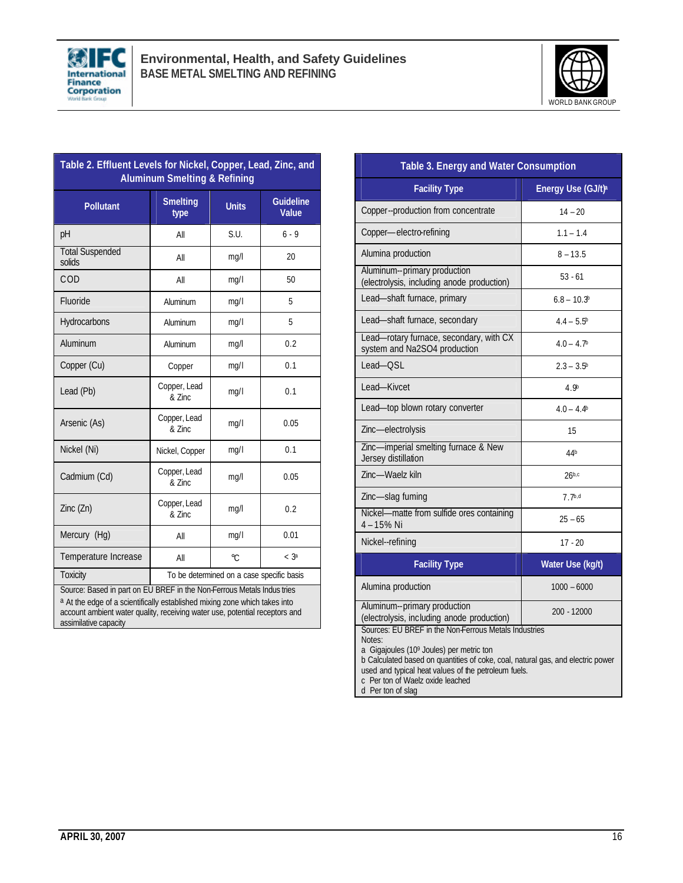



| Table 2. Effluent Levels for Nickel, Copper, Lead, Zinc, and<br><b>Aluminum Smelting &amp; Refining</b>                                                                                                                                                      |                                           |              |                                  |  |  |  |
|--------------------------------------------------------------------------------------------------------------------------------------------------------------------------------------------------------------------------------------------------------------|-------------------------------------------|--------------|----------------------------------|--|--|--|
| <b>Pollutant</b>                                                                                                                                                                                                                                             | <b>Smelting</b><br>type                   | <b>Units</b> | <b>Guideline</b><br><b>Value</b> |  |  |  |
| pH                                                                                                                                                                                                                                                           | All                                       | S.U.         | $6 - 9$                          |  |  |  |
| <b>Total Suspended</b><br>solids                                                                                                                                                                                                                             | All                                       | mg/l         | 20                               |  |  |  |
| COD                                                                                                                                                                                                                                                          | All                                       | mq/1         | 50                               |  |  |  |
| Fluoride                                                                                                                                                                                                                                                     | Aluminum                                  | mg/l         | 5                                |  |  |  |
| Hydrocarbons                                                                                                                                                                                                                                                 | Aluminum                                  | mg/l         | 5                                |  |  |  |
| Aluminum                                                                                                                                                                                                                                                     | Aluminum                                  | mq/l         | 0.2                              |  |  |  |
| Copper (Cu)                                                                                                                                                                                                                                                  | Copper                                    | mq/1         | 0.1                              |  |  |  |
| Lead (Pb)                                                                                                                                                                                                                                                    | Copper, Lead<br>& Zinc                    | mq/1         | 0.1                              |  |  |  |
| Arsenic (As)                                                                                                                                                                                                                                                 | Copper, Lead<br>& Zinc                    | mg/l         | 0.05                             |  |  |  |
| Nickel (Ni)                                                                                                                                                                                                                                                  | Nickel, Copper                            | mg/l         | 0.1                              |  |  |  |
| Cadmium (Cd)                                                                                                                                                                                                                                                 | Copper, Lead<br>& Zinc                    | mg/l         | 0.05                             |  |  |  |
| Zinc (Zn)                                                                                                                                                                                                                                                    | Copper, Lead<br>& Zinc                    | mg/l         | 0.2                              |  |  |  |
| Mercury (Hg)                                                                                                                                                                                                                                                 | All                                       | mg/l         | 0.01                             |  |  |  |
| Temperature Increase                                                                                                                                                                                                                                         | All                                       | °C           | < 3 <sup>a</sup>                 |  |  |  |
| <b>Toxicity</b>                                                                                                                                                                                                                                              | To be determined on a case specific basis |              |                                  |  |  |  |
| Source: Based in part on EU BREF in the Non-Ferrous Metals Indus tries<br>a At the edge of a scientifically established mixing zone which takes into<br>account ambient water quality, receiving water use, potential receptors and<br>assimilative capacity |                                           |              |                                  |  |  |  |

| Table 3. Energy and Water Consumption                                                                                                                                                                                                                                                                           |                                |  |  |
|-----------------------------------------------------------------------------------------------------------------------------------------------------------------------------------------------------------------------------------------------------------------------------------------------------------------|--------------------------------|--|--|
| <b>Facility Type</b>                                                                                                                                                                                                                                                                                            | Energy Use (GJ/t) <sup>a</sup> |  |  |
| Copper--production from concentrate                                                                                                                                                                                                                                                                             | $14 - 20$                      |  |  |
| Copper-electro-refining                                                                                                                                                                                                                                                                                         | $1.1 - 1.4$                    |  |  |
| Alumina production                                                                                                                                                                                                                                                                                              | $8 - 13.5$                     |  |  |
| Aluminum--primary production<br>(electrolysis, including anode production)                                                                                                                                                                                                                                      | $53 - 61$                      |  |  |
| Lead-shaft furnace, primary                                                                                                                                                                                                                                                                                     | $6.8 - 10.3b$                  |  |  |
| Lead-shaft furnace, secondary                                                                                                                                                                                                                                                                                   | $4.4 - 5.5^{\circ}$            |  |  |
| Lead-rotary furnace, secondary, with CX<br>system and Na2SO4 production                                                                                                                                                                                                                                         | $4.0 - 4.7b$                   |  |  |
| Lead-OSL                                                                                                                                                                                                                                                                                                        | $2.3 - 3.5^{\circ}$            |  |  |
| Lead-Kivcet                                                                                                                                                                                                                                                                                                     | 4.9 <sup>b</sup>               |  |  |
| Lead-top blown rotary converter                                                                                                                                                                                                                                                                                 | $4.0 - 4.4b$                   |  |  |
| Zinc-electrolysis                                                                                                                                                                                                                                                                                               | 15                             |  |  |
| Zinc-imperial smelting furnace & New<br>Jersey distillation                                                                                                                                                                                                                                                     | 44b                            |  |  |
| Zinc-Waelz kiln                                                                                                                                                                                                                                                                                                 | 26 <sup>b,c</sup>              |  |  |
| Zinc-slag fuming                                                                                                                                                                                                                                                                                                | $7.7^{b,d}$                    |  |  |
| Nickel-matte from sulfide ores containing<br>4-15% Ni                                                                                                                                                                                                                                                           | $25 - 65$                      |  |  |
| Nickel--refining                                                                                                                                                                                                                                                                                                | $17 - 20$                      |  |  |
| <b>Facility Type</b>                                                                                                                                                                                                                                                                                            | Water Use (kg/t)               |  |  |
| Alumina production                                                                                                                                                                                                                                                                                              | $1000 - 6000$                  |  |  |
| Aluminum--primary production<br>(electrolysis, including anode production)                                                                                                                                                                                                                                      | 200 - 12000                    |  |  |
| Sources: EU BREF in the Non-Ferrous Metals Industries<br>Notes:<br>a Gigajoules (109 Joules) per metric ton<br>b Calculated based on quantities of coke, coal, natural gas, and electric power<br>used and typical heat values of the petroleum fuels.<br>c Per ton of Waelz oxide leached<br>d Per ton of slag |                                |  |  |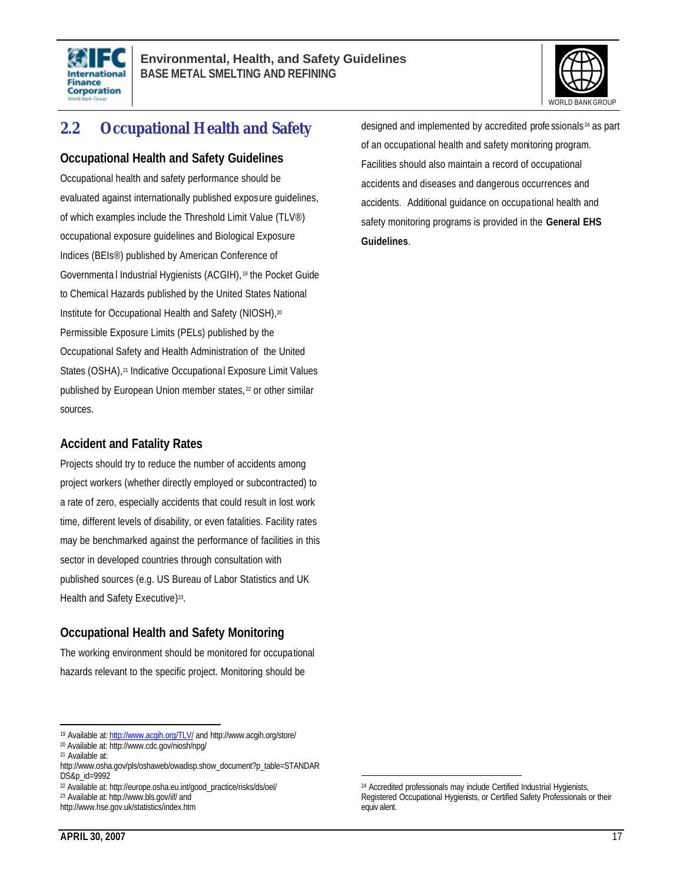



# **2.2 Occupational Health and Safety**

#### **Occupational Health and Safety Guidelines**

Occupational health and safety performance should be evaluated against internationally published exposure guidelines, of which examples include the Threshold Limit Value (TLV®) occupational exposure guidelines and Biological Exposure Indices (BEIs®) published by American Conference of Governmenta l Industrial Hygienists (ACGIH), <sup>19</sup> the Pocket Guide to Chemical Hazards published by the United States National Institute for Occupational Health and Safety (NIOSH), 20 Permissible Exposure Limits (PELs) published by the Occupational Safety and Health Administration of the United States (OSHA),<sup>21</sup> Indicative Occupational Exposure Limit Values published by European Union member states, <sup>22</sup> or other similar sources.

#### **Accident and Fatality Rates**

Projects should try to reduce the number of accidents among project workers (whether directly employed or subcontracted) to a rate of zero, especially accidents that could result in lost work time, different levels of disability, or even fatalities. Facility rates may be benchmarked against the performance of facilities in this sector in developed countries through consultation with published sources (e.g. US Bureau of Labor Statistics and UK Health and Safety Executive)<sup>23</sup>.

#### **Occupational Health and Safety Monitoring**

The working environment should be monitored for occupational hazards relevant to the specific project. Monitoring should be

designed and implemented by accredited profe ssionals <sup>24</sup> as part of an occupational health and safety monitoring program. Facilities should also maintain a record of occupational accidents and diseases and dangerous occurrences and accidents. Additional guidance on occupational health and safety monitoring programs is provided in the **General EHS Guidelines**.

 $\overline{a}$ 19 Available at: http://www.acqih.org/TLV/ and http://www.acgih.org/store/

<sup>20</sup> Available at: http://www.cdc.gov/niosh/npg/

<sup>21</sup> Available at:

http://www.osha.gov/pls/oshaweb/owadisp.show\_document?p\_table=STANDAR DS&p\_id=9992

<sup>22</sup> Available at: http://europe.osha.eu.int/good\_practice/risks/ds/oel/

<sup>23</sup> Available at: http://www.bls.gov/iif/ and

http://www.hse.gov.uk/statistics/index.htm

<sup>&</sup>lt;sup>24</sup> Accredited professionals may include Certified Industrial Hygienists, Registered Occupational Hygienists, or Certified Safety Professionals or their equiv alent.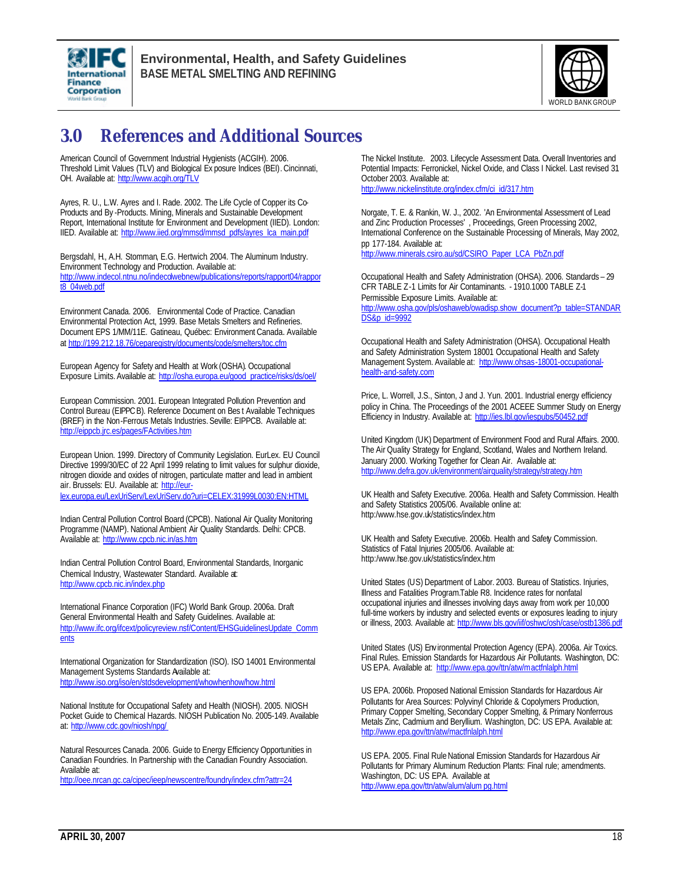



# **3.0 References and Additional Sources**

American Council of Government Industrial Hygienists (ACGIH). 2006. Threshold Limit Values (TLV) and Biological Ex posure Indices (BEI).Cincinnati, OH. Available at: http://www.acqih.org/TLV

Ayres, R. U., L.W. Ayres and I. Rade. 2002. The Life Cycle of Copper its Co-Products and By -Products. Mining, Minerals and Sustainable Development Report, International Institute for Environment and Development (IIED). London: IIED. Available at: http://www.iied.org/mmsd/mmsd\_pdfs/ayres\_lca\_main.pdf

Bergsdahl, H., A.H. Stomman, E.G. Hertwich. 2004. The Aluminum Industry. Environment Technology and Production. Available at: http://www.indecol.ntnu.no/indecolwebnew/publications/reports/rapport04/rappor t8\_04web.pdf

Environment Canada. 2006. Environmental Code of Practice. Canadian Environmental Protection Act, 1999. Base Metals Smelters and Refineries. Document EPS 1/MM/11E. Gatineau, Québec: Environment Canada. Available at http://199.212.18.76/ceparegistry/documents/code/smelters/toc.cfm

European Agency for Safety and Health at Work (OSHA). Occupational Exposure Limits. Available at: http://osha.europa.eu/good\_practice/risks/ds/oel/

European Commission. 2001. European Integrated Pollution Prevention and Control Bureau (EIPPCB). Reference Document on Bes t Available Techniques (BREF) in the Non-Ferrous Metals Industries. Seville: EIPPCB. Available at: http://eippcb.jrc.es/pages/FActivities.htm

European Union. 1999. Directory of Community Legislation. EurLex. EU Council Directive 1999/30/EC of 22 April 1999 relating to limit values for sulphur dioxide, nitrogen dioxide and oxides of nitrogen, particulate matter and lead in ambient air. Brussels: EU. Available at: http://eurlex.europa.eu/LexUriServ/LexUriServ.do?uri=CELEX:31999L0030:EN:HTML

Indian Central Pollution Control Board (CPCB). National Air Quality Monitoring Programme (NAMP). National Ambient Air Quality Standards. Delhi: CPCB. Available at: http://www.cpcb.nic.in/as.htm

Indian Central Pollution Control Board, Environmental Standards, Inorganic Chemical Industry, Wastewater Standard. Available at: http://www.cpcb.nic.in/index.php

International Finance Corporation (IFC) World Bank Group. 2006a. Draft General Environmental Health and Safety Guidelines. Available at: http://www.ifc.org/ifcext/policyreview.nsf/Content/EHSGuidelinesUpdate\_Comm **ents** 

International Organization for Standardization (ISO). ISO 14001 Environmental Management Systems Standards Available at: http://www.iso.org/iso/en/stdsdevelopment/whowhenhow/how.html

National Institute for Occupational Safety and Health (NIOSH). 2005. NIOSH Pocket Guide to Chemical Hazards. NIOSH Publication No. 2005-149. Available at: http://www.cdc.gov/niosh/npg/

Natural Resources Canada. 2006. Guide to Energy Efficiency Opportunities in Canadian Foundries. In Partnership with the Canadian Foundry Association. Available at:

http://oee.nrcan.gc.ca/cipec/ieep/newscentre/foundry/index.cfm?attr=24

The Nickel Institute. 2003. Lifecycle Assessment Data. Overall Inventories and Potential Impacts: Ferronickel, Nickel Oxide, and Class I Nickel. Last revised 31 October 2003. Available at: http://www.nickelinstitute.org/index.cfm/ci\_id/317.htm

Norgate, T. E. & Rankin, W. J., 2002. 'An Environmental Assessment of Lead and Zinc Production Processes' , Proceedings, Green Processing 2002, International Conference on the Sustainable Processing of Minerals, May 2002, pp 177-184. Available at: .<br>http://www.minerals.csiro.au/sd/CSIRO\_Paper\_LCA\_PbZn.pdf

Occupational Health and Safety Administration (OHSA). 2006. Standards – 29 CFR TABLE Z-1 Limits for Air Contaminants. - 1910.1000 TABLE Z-1 Permissible Exposure Limits. Available at: http://www.osha.gov/pls/oshaweb/owadisp.show\_document?p\_table=STANDAR DS&p\_id=9992

Occupational Health and Safety Administration (OHSA). Occupational Health and Safety Administration System 18001 Occupational Health and Safety Management System. Available at: http://www.ohsas-18001-occupationalhealth-and-safety.com

Price, L. Worrell, J.S., Sinton, J and J. Yun. 2001. Industrial energy efficiency policy in China. The Proceedings of the 2001 ACEEE Summer Study on Energy Efficiency in Industry. Available at: http://ies.lbl.gov/iespubs/50452.pdf

United Kingdom (UK) Department of Environment Food and Rural Affairs. 2000. The Air Quality Strategy for England, Scotland, Wales and Northern Ireland. January 2000. Working Together for Clean Air. Available at: http://www.defra.gov.uk/environment/airquality/strategy/strategy.htm

UK Health and Safety Executive. 2006a. Health and Safety Commission. Health and Safety Statistics 2005/06. Available online at: http:/www.hse.gov.uk/statistics/index.htm

UK Health and Safety Executive. 2006b. Health and Safety Commission. Statistics of Fatal Injuries 2005/06. Available at: http:/www.hse.gov.uk/statistics/index.htm

United States (US) Department of Labor. 2003. Bureau of Statistics. Injuries, Illness and Fatalities Program.Table R8. Incidence rates for nonfatal occupational injuries and illnesses involving days away from work per 10,000 full-time workers by industry and selected events or exposures leading to injury or illness, 2003. Available at: http://www.bls.gov/iif/oshwc/osh/case/ostb1386.pdf

United States (US) Env ironmental Protection Agency (EPA). 2006a. Air Toxics. Final Rules. Emission Standards for Hazardous Air Pollutants. Washington, DC: US EPA. Available at: http://www.epa.gov/ttn/atw/mactfnlalph.html

US EPA. 2006b. Proposed National Emission Standards for Hazardous Air Pollutants for Area Sources: Polyvinyl Chloride & Copolymers Production, Primary Copper Smelting, Secondary Copper Smelting, & Primary Nonferrous Metals Zinc, Cadmium and Beryllium. Washington, DC: US EPA. Available at: http://www.epa.gov/ttn/atw/mactfnlalph.html

US EPA. 2005. Final Rule National Emission Standards for Hazardous Air Pollutants for Primary Aluminum Reduction Plants: Final rule; amendments. Washington, DC: US EPA. Available at http://www.epa.gov/ttn/atw/alum/alum pg.html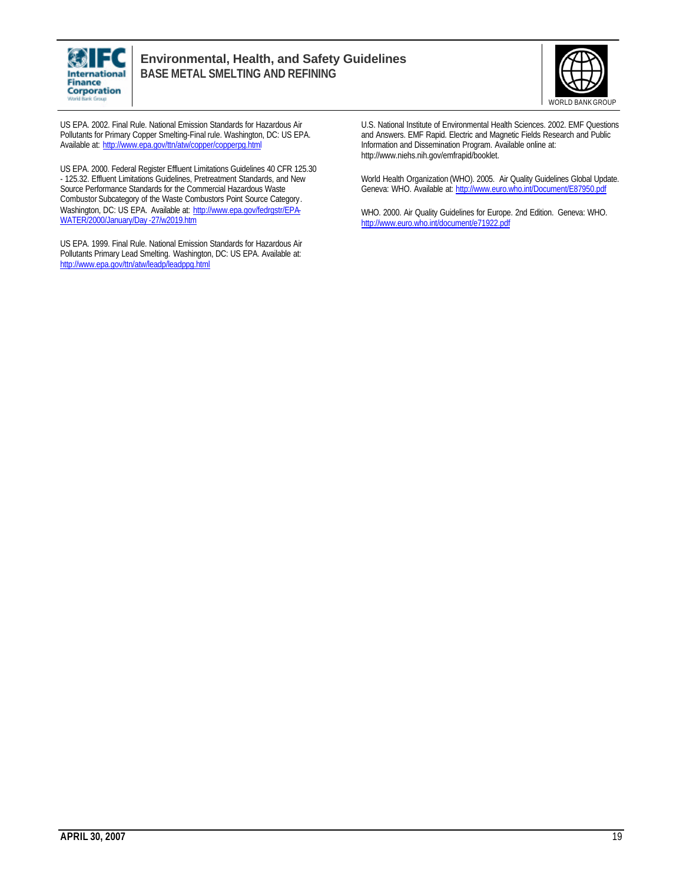



US EPA. 2002. Final Rule. National Emission Standards for Hazardous Air Pollutants for Primary Copper Smelting-Final rule. Washington, DC: US EPA. Available at: http://www.epa.gov/ttn/atw/copper/copperpg.html

US EPA. 2000. Federal Register Effluent Limitations Guidelines 40 CFR 125.30 - 125.32. Effluent Limitations Guidelines, Pretreatment Standards, and New Source Performance Standards for the Commercial Hazardous Waste Combustor Subcategory of the Waste Combustors Point Source Category. Washington, DC: US EPA. Available at: http://www.epa.gov/fedrgstr/EPA-WATER/2000/January/Day -27/w2019.htm

US EPA. 1999. Final Rule. National Emission Standards for Hazardous Air Pollutants Primary Lead Smelting. Washington, DC: US EPA. Available at: http://www.epa.gov/ttn/atw/leadp/leadppg.html

U.S. National Institute of Environmental Health Sciences. 2002. EMF Questions and Answers. EMF Rapid. Electric and Magnetic Fields Research and Public Information and Dissemination Program. Available online at: http://www.niehs.nih.gov/emfrapid/booklet.

World Health Organization (WHO). 2005. Air Quality Guidelines Global Update. Geneva: WHO. Available at: http://www.euro.who.int/Document/E87950.pdf

WHO. 2000. Air Quality Guidelines for Europe. 2nd Edition. Geneva: WHO. http://www.euro.who.int/document/e71922.pdf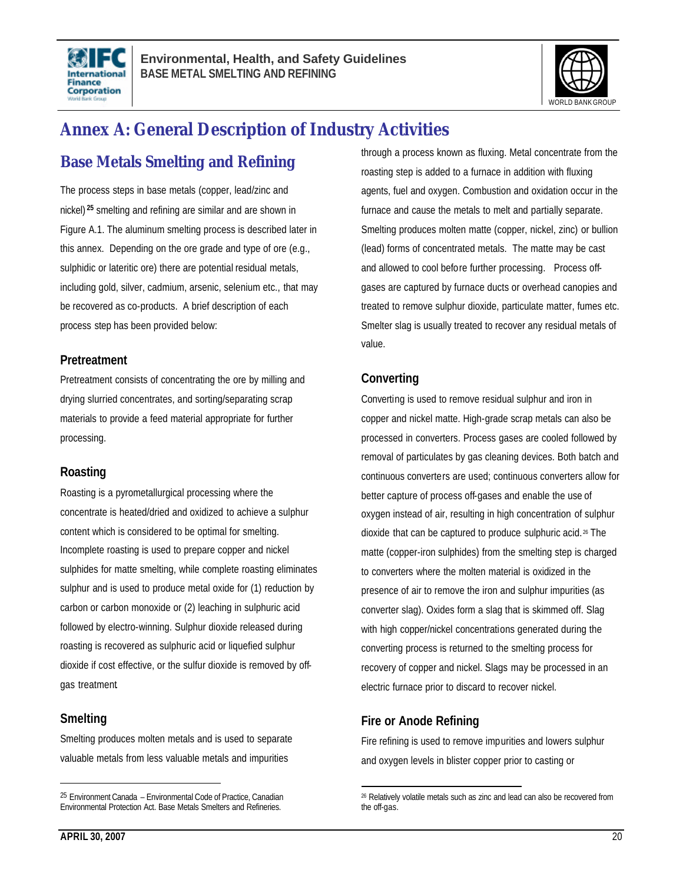



# **Annex A: General Description of Industry Activities**

# **Base Metals Smelting and Refining**

The process steps in base metals (copper, lead/zinc and nickel) **<sup>25</sup>** smelting and refining are similar and are shown in Figure A.1. The aluminum smelting process is described later in this annex. Depending on the ore grade and type of ore (e.g., sulphidic or lateritic ore) there are potential residual metals, including gold, silver, cadmium, arsenic, selenium etc., that may be recovered as co-products. A brief description of each process step has been provided below:

#### **Pretreatment**

Pretreatment consists of concentrating the ore by milling and drying slurried concentrates, and sorting/separating scrap materials to provide a feed material appropriate for further processing.

#### **Roasting**

Roasting is a pyrometallurgical processing where the concentrate is heated/dried and oxidized to achieve a sulphur content which is considered to be optimal for smelting. Incomplete roasting is used to prepare copper and nickel sulphides for matte smelting, while complete roasting eliminates sulphur and is used to produce metal oxide for (1) reduction by carbon or carbon monoxide or (2) leaching in sulphuric acid followed by electro-winning. Sulphur dioxide released during roasting is recovered as sulphuric acid or liquefied sulphur dioxide if cost effective, or the sulfur dioxide is removed by offgas treatment.

#### **Smelting**

 $\overline{a}$ 

Smelting produces molten metals and is used to separate valuable metals from less valuable metals and impurities

through a process known as fluxing. Metal concentrate from the roasting step is added to a furnace in addition with fluxing agents, fuel and oxygen. Combustion and oxidation occur in the furnace and cause the metals to melt and partially separate. Smelting produces molten matte (copper, nickel, zinc) or bullion (lead) forms of concentrated metals. The matte may be cast and allowed to cool before further processing. Process offgases are captured by furnace ducts or overhead canopies and treated to remove sulphur dioxide, particulate matter, fumes etc. Smelter slag is usually treated to recover any residual metals of value.

### **Converting**

Converting is used to remove residual sulphur and iron in copper and nickel matte. High-grade scrap metals can also be processed in converters. Process gases are cooled followed by removal of particulates by gas cleaning devices. Both batch and continuous converters are used; continuous converters allow for better capture of process off-gases and enable the use of oxygen instead of air, resulting in high concentration of sulphur dioxide that can be captured to produce sulphuric acid. <sup>26</sup> The matte (copper-iron sulphides) from the smelting step is charged to converters where the molten material is oxidized in the presence of air to remove the iron and sulphur impurities (as converter slag). Oxides form a slag that is skimmed off. Slag with high copper/nickel concentrations generated during the converting process is returned to the smelting process for recovery of copper and nickel. Slags may be processed in an electric furnace prior to discard to recover nickel.

#### **Fire or Anode Refining**

Fire refining is used to remove impurities and lowers sulphur and oxygen levels in blister copper prior to casting or

<sup>25</sup> Environment Canada – Environmental Code of Practice, Canadian Environmental Protection Act. Base Metals Smelters and Refineries.

 $\overline{a}$ <sup>26</sup> Relatively volatile metals such as zinc and lead can also be recovered from the off-gas.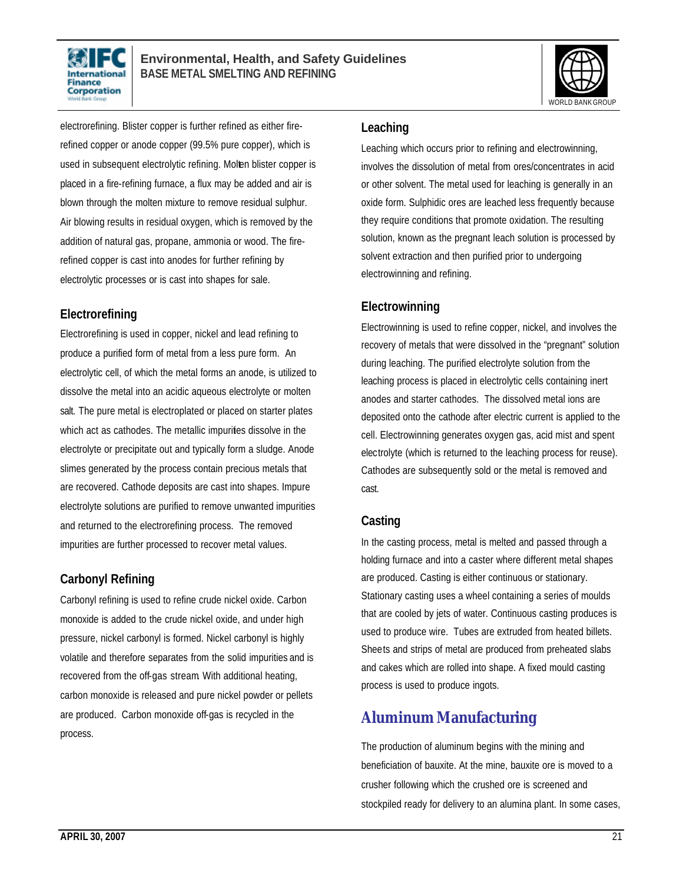



electrorefining. Blister copper is further refined as either firerefined copper or anode copper (99.5% pure copper), which is used in subsequent electrolytic refining. Molten blister copper is placed in a fire-refining furnace, a flux may be added and air is blown through the molten mixture to remove residual sulphur. Air blowing results in residual oxygen, which is removed by the addition of natural gas, propane, ammonia or wood. The firerefined copper is cast into anodes for further refining by electrolytic processes or is cast into shapes for sale.

### **Electrorefining**

Electrorefining is used in copper, nickel and lead refining to produce a purified form of metal from a less pure form. An electrolytic cell, of which the metal forms an anode, is utilized to dissolve the metal into an acidic aqueous electrolyte or molten salt. The pure metal is electroplated or placed on starter plates which act as cathodes. The metallic impurities dissolve in the electrolyte or precipitate out and typically form a sludge. Anode slimes generated by the process contain precious metals that are recovered. Cathode deposits are cast into shapes. Impure electrolyte solutions are purified to remove unwanted impurities and returned to the electrorefining process. The removed impurities are further processed to recover metal values.

# **Carbonyl Refining**

Carbonyl refining is used to refine crude nickel oxide. Carbon monoxide is added to the crude nickel oxide, and under high pressure, nickel carbonyl is formed. Nickel carbonyl is highly volatile and therefore separates from the solid impurities and is recovered from the off-gas stream. With additional heating, carbon monoxide is released and pure nickel powder or pellets are produced. Carbon monoxide off-gas is recycled in the process.

#### **Leaching**

Leaching which occurs prior to refining and electrowinning, involves the dissolution of metal from ores/concentrates in acid or other solvent. The metal used for leaching is generally in an oxide form. Sulphidic ores are leached less frequently because they require conditions that promote oxidation. The resulting solution, known as the pregnant leach solution is processed by solvent extraction and then purified prior to undergoing electrowinning and refining.

# **Electrowinning**

Electrowinning is used to refine copper, nickel, and involves the recovery of metals that were dissolved in the "pregnant" solution during leaching. The purified electrolyte solution from the leaching process is placed in electrolytic cells containing inert anodes and starter cathodes. The dissolved metal ions are deposited onto the cathode after electric current is applied to the cell. Electrowinning generates oxygen gas, acid mist and spent electrolyte (which is returned to the leaching process for reuse). Cathodes are subsequently sold or the metal is removed and cast.

# **Casting**

In the casting process, metal is melted and passed through a holding furnace and into a caster where different metal shapes are produced. Casting is either continuous or stationary. Stationary casting uses a wheel containing a series of moulds that are cooled by jets of water. Continuous casting produces is used to produce wire. Tubes are extruded from heated billets. Sheets and strips of metal are produced from preheated slabs and cakes which are rolled into shape. A fixed mould casting process is used to produce ingots.

# **Aluminum Manufacturing**

The production of aluminum begins with the mining and beneficiation of bauxite. At the mine, bauxite ore is moved to a crusher following which the crushed ore is screened and stockpiled ready for delivery to an alumina plant. In some cases,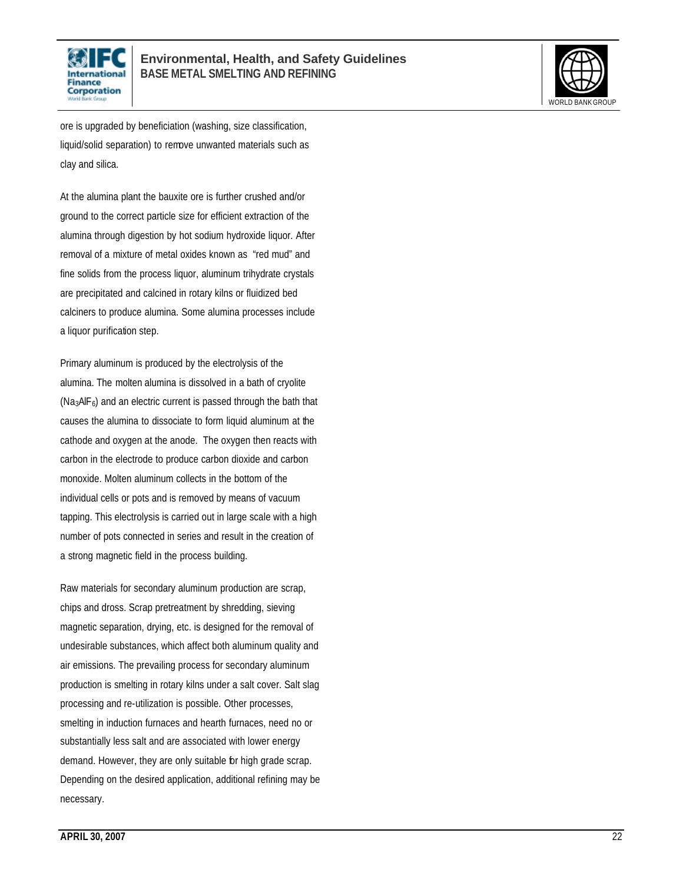



ore is upgraded by beneficiation (washing, size classification, liquid/solid separation) to remove unwanted materials such as clay and silica.

At the alumina plant the bauxite ore is further crushed and/or ground to the correct particle size for efficient extraction of the alumina through digestion by hot sodium hydroxide liquor. After removal of a mixture of metal oxides known as "red mud" and fine solids from the process liquor, aluminum trihydrate crystals are precipitated and calcined in rotary kilns or fluidized bed calciners to produce alumina. Some alumina processes include a liquor purification step.

Primary aluminum is produced by the electrolysis of the alumina. The molten alumina is dissolved in a bath of cryolite  $(Na<sub>3</sub>AIF<sub>6</sub>)$  and an electric current is passed through the bath that causes the alumina to dissociate to form liquid aluminum at the cathode and oxygen at the anode. The oxygen then reacts with carbon in the electrode to produce carbon dioxide and carbon monoxide. Molten aluminum collects in the bottom of the individual cells or pots and is removed by means of vacuum tapping. This electrolysis is carried out in large scale with a high number of pots connected in series and result in the creation of a strong magnetic field in the process building.

Raw materials for secondary aluminum production are scrap, chips and dross. Scrap pretreatment by shredding, sieving magnetic separation, drying, etc. is designed for the removal of undesirable substances, which affect both aluminum quality and air emissions. The prevailing process for secondary aluminum production is smelting in rotary kilns under a salt cover. Salt slag processing and re-utilization is possible. Other processes, smelting in induction furnaces and hearth furnaces, need no or substantially less salt and are associated with lower energy demand. However, they are only suitable for high grade scrap. Depending on the desired application, additional refining may be necessary.